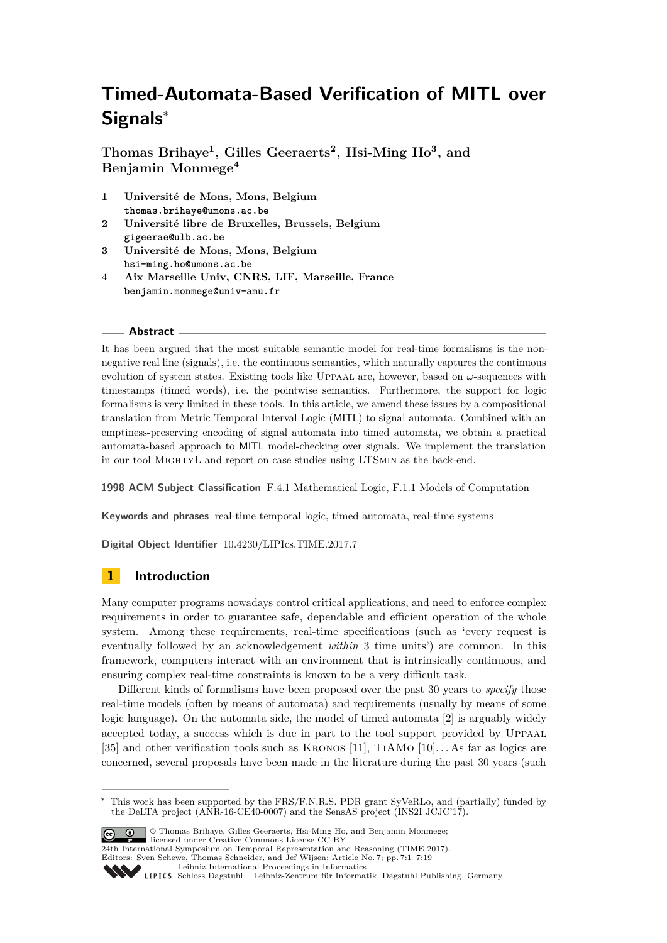# **Timed-Automata-Based Verification of MITL over Signals**<sup>∗</sup>

**Thomas Brihaye<sup>1</sup> , Gilles Geeraerts<sup>2</sup> , Hsi-Ming Ho<sup>3</sup> , and Benjamin Monmege<sup>4</sup>**

- **1 Université de Mons, Mons, Belgium thomas.brihaye@umons.ac.be**
- **2 Université libre de Bruxelles, Brussels, Belgium gigeerae@ulb.ac.be**
- **3 Université de Mons, Mons, Belgium hsi-ming.ho@umons.ac.be**
- **4 Aix Marseille Univ, CNRS, LIF, Marseille, France benjamin.monmege@univ-amu.fr**

#### **Abstract**

It has been argued that the most suitable semantic model for real-time formalisms is the nonnegative real line (signals), i.e. the continuous semantics, which naturally captures the continuous evolution of system states. Existing tools like Uppaal are, however, based on *ω*-sequences with timestamps (timed words), i.e. the pointwise semantics. Furthermore, the support for logic formalisms is very limited in these tools. In this article, we amend these issues by a compositional translation from Metric Temporal Interval Logic (MITL) to signal automata. Combined with an emptiness-preserving encoding of signal automata into timed automata, we obtain a practical automata-based approach to MITL model-checking over signals. We implement the translation in our tool MightyL and report on case studies using LTSmin as the back-end.

**1998 ACM Subject Classification** F.4.1 Mathematical Logic, F.1.1 Models of Computation

**Keywords and phrases** real-time temporal logic, timed automata, real-time systems

**Digital Object Identifier** [10.4230/LIPIcs.TIME.2017.7](http://dx.doi.org/10.4230/LIPIcs.TIME.2017.7)

# **1 Introduction**

Many computer programs nowadays control critical applications, and need to enforce complex requirements in order to guarantee safe, dependable and efficient operation of the whole system. Among these requirements, real-time specifications (such as 'every request is eventually followed by an acknowledgement *within* 3 time units') are common. In this framework, computers interact with an environment that is intrinsically continuous, and ensuring complex real-time constraints is known to be a very difficult task.

Different kinds of formalisms have been proposed over the past 30 years to *specify* those real-time models (often by means of automata) and requirements (usually by means of some logic language). On the automata side, the model of timed automata [\[2\]](#page-15-0) is arguably widely accepted today, a success which is due in part to the tool support provided by Uppaal [\[35\]](#page-17-0) and other verification tools such as Kronos [\[11\]](#page-15-1), TiAMo [\[10\]](#page-15-2). . . As far as logics are concerned, several proposals have been made in the literature during the past 30 years (such

<sup>∗</sup> This work has been supported by the FRS/F.N.R.S. PDR grant SyVeRLo, and (partially) funded by the DeLTA project (ANR-16-CE40-0007) and the SensAS project (INS2I JCJC'17).



© Thomas Brihaye, Gilles Geeraerts, Hsi-Ming Ho, and Benjamin Monmege; licensed under Creative Commons License CC-BY 24th International Symposium on Temporal Representation and Reasoning (TIME 2017).

Editors: Sven Schewe, Thomas Schneider, and Jef Wijsen; Article No. 7; pp. 7:1–7[:19](#page-18-0)

[Leibniz International Proceedings in Informatics](http://www.dagstuhl.de/lipics/)

[Schloss Dagstuhl – Leibniz-Zentrum für Informatik, Dagstuhl Publishing, Germany](http://www.dagstuhl.de)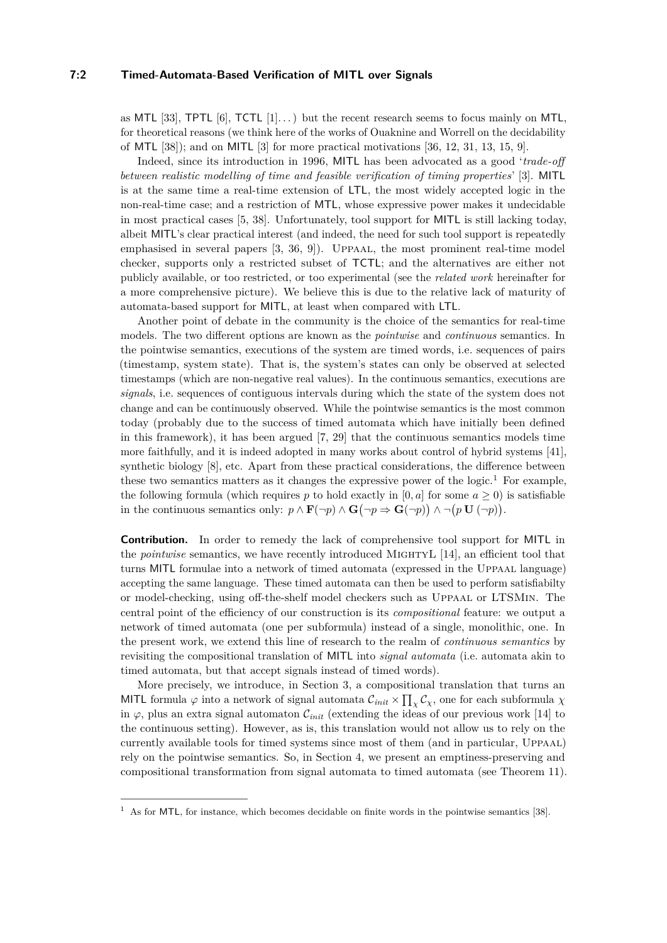as MTL [\[33\]](#page-16-0), TPTL  $[6]$ , TCTL  $[1]$ ...) but the recent research seems to focus mainly on MTL, for theoretical reasons (we think here of the works of Ouaknine and Worrell on the decidability of MTL [\[38\]](#page-17-1)); and on MITL [\[3\]](#page-15-5) for more practical motivations [\[36,](#page-17-2) [12,](#page-15-6) [31,](#page-16-1) [13,](#page-15-7) [15,](#page-16-2) [9\]](#page-15-8).

Indeed, since its introduction in 1996, MITL has been advocated as a good '*trade-off between realistic modelling of time and feasible verification of timing properties*' [\[3\]](#page-15-5). MITL is at the same time a real-time extension of LTL, the most widely accepted logic in the non-real-time case; and a restriction of MTL, whose expressive power makes it undecidable in most practical cases [\[5,](#page-15-9) [38\]](#page-17-1). Unfortunately, tool support for MITL is still lacking today, albeit MITL's clear practical interest (and indeed, the need for such tool support is repeatedly emphasised in several papers [\[3,](#page-15-5) [36,](#page-17-2) [9\]](#page-15-8)). Uppaal, the most prominent real-time model checker, supports only a restricted subset of TCTL; and the alternatives are either not publicly available, or too restricted, or too experimental (see the *related work* hereinafter for a more comprehensive picture). We believe this is due to the relative lack of maturity of automata-based support for MITL, at least when compared with LTL.

Another point of debate in the community is the choice of the semantics for real-time models. The two different options are known as the *pointwise* and *continuous* semantics. In the pointwise semantics, executions of the system are timed words, i.e. sequences of pairs (timestamp, system state). That is, the system's states can only be observed at selected timestamps (which are non-negative real values). In the continuous semantics, executions are *signals*, i.e. sequences of contiguous intervals during which the state of the system does not change and can be continuously observed. While the pointwise semantics is the most common today (probably due to the success of timed automata which have initially been defined in this framework), it has been argued [\[7,](#page-15-10) [29\]](#page-16-3) that the continuous semantics models time more faithfully, and it is indeed adopted in many works about control of hybrid systems [\[41\]](#page-17-3), synthetic biology [\[8\]](#page-15-11), etc. Apart from these practical considerations, the difference between these two semantics matters as it changes the expressive power of the logic.<sup>[1](#page-1-0)</sup> For example, the following formula (which requires  $p$  to hold exactly in  $[0, a]$  for some  $a \geq 0$ ) is satisfiable in the continuous semantics only:  $p \wedge \mathbf{F}(\neg p) \wedge \mathbf{G}(\neg p \Rightarrow \mathbf{G}(\neg p)) \wedge \neg (p \mathbf{U}(\neg p)).$ 

**Contribution.** In order to remedy the lack of comprehensive tool support for MITL in the *pointwise* semantics, we have recently introduced MIGHTYL [\[14\]](#page-15-12), an efficient tool that turns MITL formulae into a network of timed automata (expressed in the UPPAAL language) accepting the same language. These timed automata can then be used to perform satisfiabilty or model-checking, using off-the-shelf model checkers such as Uppaal or LTSMin. The central point of the efficiency of our construction is its *compositional* feature: we output a network of timed automata (one per subformula) instead of a single, monolithic, one. In the present work, we extend this line of research to the realm of *continuous semantics* by revisiting the compositional translation of MITL into *signal automata* (i.e. automata akin to timed automata, but that accept signals instead of timed words).

More precisely, we introduce, in Section [3,](#page-5-0) a compositional translation that turns an MITL formula  $\varphi$  into a network of signal automata  $\mathcal{C}_{init} \times \prod_{\chi} \mathcal{C}_{\chi}$ , one for each subformula  $\chi$ in  $\varphi$ , plus an extra signal automaton  $\mathcal{C}_{init}$  (extending the ideas of our previous work [\[14\]](#page-15-12) to the continuous setting). However, as is, this translation would not allow us to rely on the currently available tools for timed systems since most of them (and in particular, Uppaal) rely on the pointwise semantics. So, in Section [4,](#page-10-0) we present an emptiness-preserving and compositional transformation from signal automata to timed automata (see Theorem [11\)](#page-12-0).

<span id="page-1-0"></span> $1$  As for MTL, for instance, which becomes decidable on finite words in the pointwise semantics [\[38\]](#page-17-1).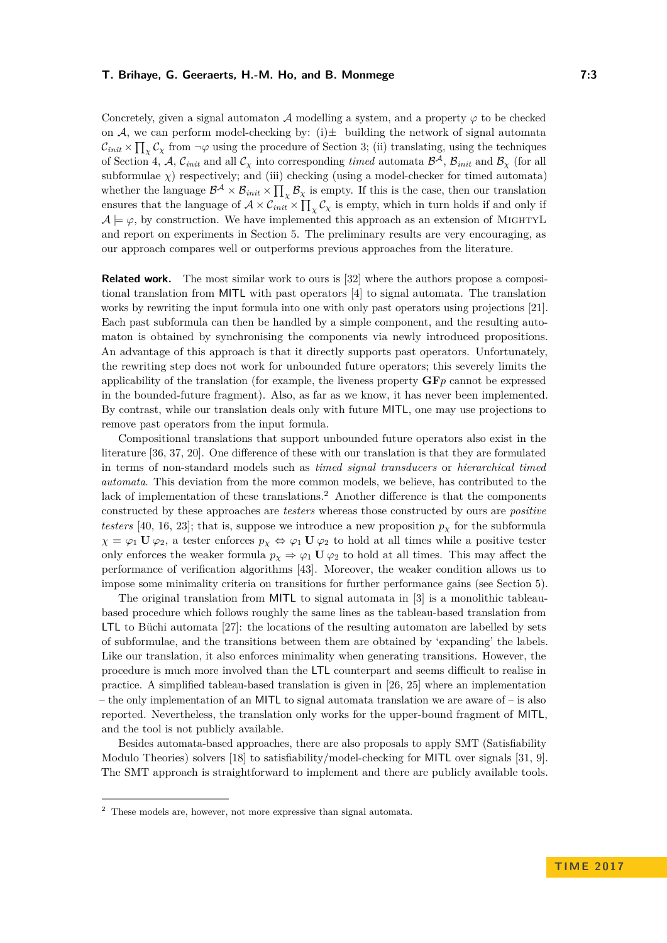Concretely, given a signal automaton A modelling a system, and a property  $\varphi$  to be checked on A, we can perform model-checking by: (i) $\pm$  building the network of signal automata  $\mathcal{C}_{init} \times \prod_{\chi} \mathcal{C}_{\chi}$  from  $\neg \varphi$  using the procedure of Section [3;](#page-5-0) (ii) translating, using the techniques of Section [4,](#page-10-0) A,  $\mathcal{C}_{init}$  and all  $\mathcal{C}_{\chi}$  into corresponding *timed* automata  $\mathcal{B}^{\mathcal{A}}, \mathcal{B}_{init}$  and  $\mathcal{B}_{\chi}$  (for all subformulae  $\chi$ ) respectively; and (iii) checking (using a model-checker for timed automata) whether the language  $\mathcal{B}^{\mathcal{A}} \times \mathcal{B}_{init} \times \prod_{\chi} \mathcal{B}_{\chi}$  is empty. If this is the case, then our translation ensures that the language of  $A \times C_{init} \times \prod_{\chi} C_{\chi}$  is empty, which in turn holds if and only if  $\mathcal{A} \models \varphi$ , by construction. We have implemented this approach as an extension of MIGHTYL and report on experiments in Section [5.](#page-12-1) The preliminary results are very encouraging, as our approach compares well or outperforms previous approaches from the literature.

**Related work.** The most similar work to ours is [\[32\]](#page-16-4) where the authors propose a compositional translation from MITL with past operators [\[4\]](#page-15-13) to signal automata. The translation works by rewriting the input formula into one with only past operators using projections [\[21\]](#page-16-5). Each past subformula can then be handled by a simple component, and the resulting automaton is obtained by synchronising the components via newly introduced propositions. An advantage of this approach is that it directly supports past operators. Unfortunately, the rewriting step does not work for unbounded future operators; this severely limits the applicability of the translation (for example, the liveness property **GF***p* cannot be expressed in the bounded-future fragment). Also, as far as we know, it has never been implemented. By contrast, while our translation deals only with future MITL, one may use projections to remove past operators from the input formula.

Compositional translations that support unbounded future operators also exist in the literature [\[36,](#page-17-2) [37,](#page-17-4) [20\]](#page-16-6). One difference of these with our translation is that they are formulated in terms of non-standard models such as *timed signal transducers* or *hierarchical timed automata*. This deviation from the more common models, we believe, has contributed to the lack of implementation of these translations.<sup>[2](#page-2-0)</sup> Another difference is that the components constructed by these approaches are *testers* whereas those constructed by ours are *positive testers* [\[40,](#page-17-5) [16,](#page-16-7) [23\]](#page-16-8); that is, suppose we introduce a new proposition  $p<sub>x</sub>$  for the subformula  $\chi = \varphi_1 \mathbf{U} \varphi_2$ , a tester enforces  $p_\chi \Leftrightarrow \varphi_1 \mathbf{U} \varphi_2$  to hold at all times while a positive tester only enforces the weaker formula  $p_\chi \Rightarrow \varphi_1 \mathbf{U} \varphi_2$  to hold at all times. This may affect the performance of verification algorithms [\[43\]](#page-17-6). Moreover, the weaker condition allows us to impose some minimality criteria on transitions for further performance gains (see Section [5\)](#page-12-1).

The original translation from MITL to signal automata in [\[3\]](#page-15-5) is a monolithic tableaubased procedure which follows roughly the same lines as the tableau-based translation from LTL to Büchi automata [\[27\]](#page-16-9): the locations of the resulting automaton are labelled by sets of subformulae, and the transitions between them are obtained by 'expanding' the labels. Like our translation, it also enforces minimality when generating transitions. However, the procedure is much more involved than the LTL counterpart and seems difficult to realise in practice. A simplified tableau-based translation is given in [\[26,](#page-16-10) [25\]](#page-16-11) where an implementation – the only implementation of an MITL to signal automata translation we are aware of – is also reported. Nevertheless, the translation only works for the upper-bound fragment of MITL, and the tool is not publicly available.

Besides automata-based approaches, there are also proposals to apply SMT (Satisfiability Modulo Theories) solvers [\[18\]](#page-16-12) to satisfiability/model-checking for MITL over signals [\[31,](#page-16-1) [9\]](#page-15-8). The SMT approach is straightforward to implement and there are publicly available tools.

<span id="page-2-0"></span><sup>2</sup> These models are, however, not more expressive than signal automata.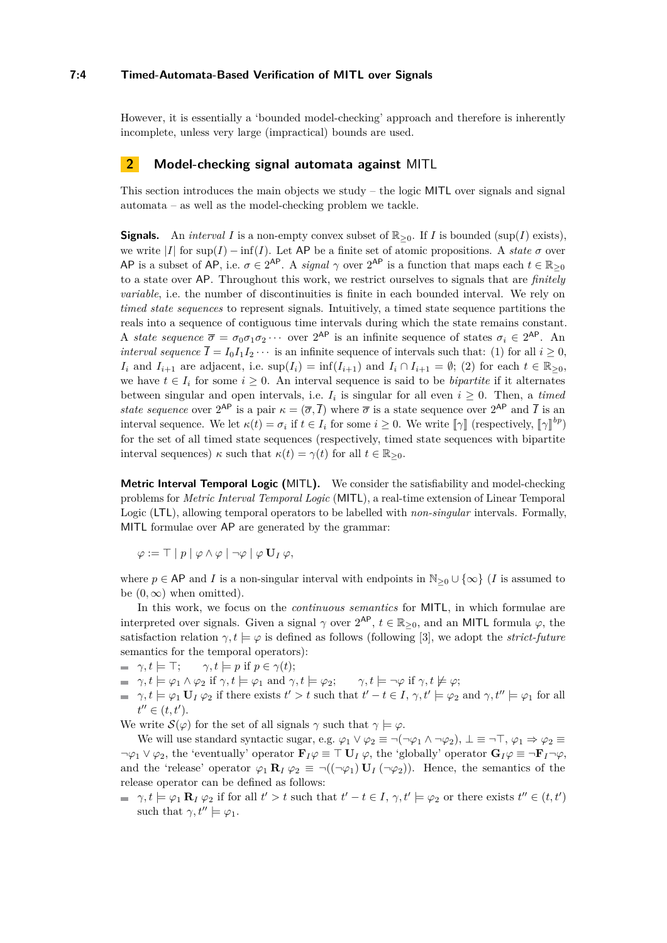## **7:4 Timed-Automata-Based Verification of MITL over Signals**

However, it is essentially a 'bounded model-checking' approach and therefore is inherently incomplete, unless very large (impractical) bounds are used.

# **2 Model-checking signal automata against** MITL

This section introduces the main objects we study – the logic MITL over signals and signal automata – as well as the model-checking problem we tackle.

**Signals.** An *interval I* is a non-empty convex subset of  $\mathbb{R}_{\geq 0}$ . If *I* is bounded (sup(*I*) exists), we write  $|I|$  for sup(*I*) – inf(*I*). Let AP be a finite set of atomic propositions. A *state*  $\sigma$  over AP is a subset of AP, i.e.  $\sigma \in 2^{AP}$ . A *signal*  $\gamma$  over  $2^{AP}$  is a function that maps each  $t \in \mathbb{R}_{\geq 0}$ to a state over AP. Throughout this work, we restrict ourselves to signals that are *finitely variable*, i.e. the number of discontinuities is finite in each bounded interval. We rely on *timed state sequences* to represent signals. Intuitively, a timed state sequence partitions the reals into a sequence of contiguous time intervals during which the state remains constant. A *state sequence*  $\bar{\sigma} = \sigma_0 \sigma_1 \sigma_2 \cdots$  over  $2^{AP}$  is an infinite sequence of states  $\sigma_i \in 2^{AP}$ . An *interval sequence*  $\overline{I} = I_0 I_1 I_2 \cdots$  is an infinite sequence of intervals such that: (1) for all  $i > 0$ , *I*<sub>i</sub> and *I*<sub>i+1</sub> are adjacent, i.e.  $\sup(I_i) = \inf(I_{i+1})$  and  $I_i \cap I_{i+1} = \emptyset$ ; (2) for each  $t \in \mathbb{R}_{\geq 0}$ , we have  $t \in I_i$  for some  $i \geq 0$ . An interval sequence is said to be *bipartite* if it alternates between singular and open intervals, i.e.  $I_i$  is singular for all even  $i \geq 0$ . Then, a *timed state sequence* over  $2^{AP}$  is a pair  $\kappa = (\overline{\sigma}, \overline{I})$  where  $\overline{\sigma}$  is a state sequence over  $2^{AP}$  and  $\overline{I}$  is an interval sequence. We let  $\kappa(t) = \sigma_i$  if  $t \in I_i$  for some  $i \geq 0$ . We write  $[\![\gamma]\!]$  (respectively,  $[\![\gamma]\!]^{bp}$ ) for the set of all timed state sequences (respectively, timed state sequences with bipartite interval sequences)  $\kappa$  such that  $\kappa(t) = \gamma(t)$  for all  $t \in \mathbb{R}_{\geq 0}$ .

**Metric Interval Temporal Logic (**MITL**).** We consider the satisfiability and model-checking problems for *Metric Interval Temporal Logic* (MITL), a real-time extension of Linear Temporal Logic (LTL), allowing temporal operators to be labelled with *non-singular* intervals. Formally, MITL formulae over AP are generated by the grammar:

$$
\varphi := \top | p | \varphi \wedge \varphi | \neg \varphi | \varphi \mathbf{U}_I \varphi,
$$

where  $p \in AP$  and *I* is a non-singular interval with endpoints in  $\mathbb{N}_{\geq 0} \cup \{\infty\}$  (*I* is assumed to be  $(0, \infty)$  when omitted).

In this work, we focus on the *continuous semantics* for MITL, in which formulae are interpreted over signals. Given a signal  $\gamma$  over  $2^{AP}$ ,  $t \in \mathbb{R}_{\geq 0}$ , and an MITL formula  $\varphi$ , the satisfaction relation  $\gamma, t \models \varphi$  is defined as follows (following [\[3\]](#page-15-5), we adopt the *strict-future* semantics for the temporal operators):

- $\blacktriangleright$   $\gamma, t \models \top; \qquad \gamma, t \models p \text{ if } p \in \gamma(t);$
- $\varphi$ ,  $\gamma$ ,  $t \models \varphi_1 \land \varphi_2$  if  $\gamma$ ,  $t \models \varphi_1$  and  $\gamma$ ,  $t \models \varphi_2$ ;  $\gamma$ ,  $t \models \neg \varphi$  if  $\gamma$ ,  $t \not\models \varphi$ ;
- $\gamma, t \models \varphi_1 \mathbf{U}_I \varphi_2$  if there exists  $t' > t$  such that  $t' t \in I$ ,  $\gamma, t' \models \varphi_2$  and  $\gamma, t'' \models \varphi_1$  for all  $t'' \in (t, t').$

We write  $\mathcal{S}(\varphi)$  for the set of all signals  $\gamma$  such that  $\gamma \models \varphi$ .

We will use standard syntactic sugar, e.g.  $\varphi_1 \vee \varphi_2 \equiv \neg(\neg \varphi_1 \wedge \neg \varphi_2), \bot \equiv \neg \top, \varphi_1 \Rightarrow \varphi_2 \equiv \top$  $\neg \varphi_1 \lor \varphi_2$ , the 'eventually' operator  $\mathbf{F}_I \varphi \equiv \top \mathbf{U}_I \varphi$ , the 'globally' operator  $\mathbf{G}_I \varphi \equiv \top \mathbf{F}_I \neg \varphi$ , and the 'release' operator  $\varphi_1 \mathbf{R}_I \varphi_2 \equiv \neg((\neg \varphi_1) \mathbf{U}_I (\neg \varphi_2))$ . Hence, the semantics of the release operator can be defined as follows:

 $\gamma, t \models \varphi_1 \mathbf{R}_I \varphi_2$  if for all  $t' > t$  such that  $t' - t \in I$ ,  $\gamma, t' \models \varphi_2$  or there exists  $t'' \in (t, t')$ such that  $\gamma, t'' \models \varphi_1$ .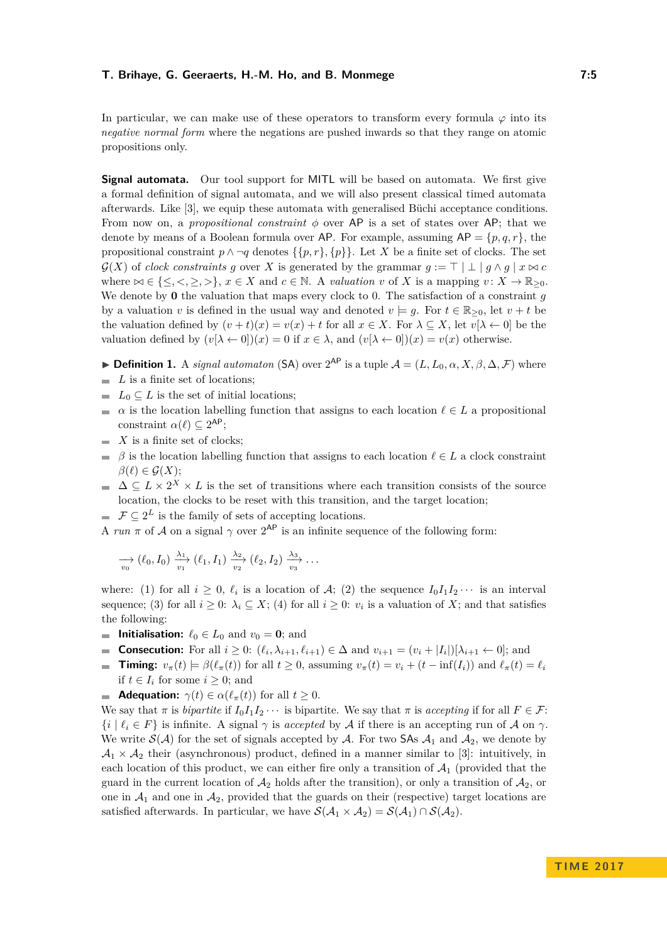In particular, we can make use of these operators to transform every formula  $\varphi$  into its *negative normal form* where the negations are pushed inwards so that they range on atomic propositions only.

**Signal automata.** Our tool support for MITL will be based on automata. We first give a formal definition of signal automata, and we will also present classical timed automata afterwards. Like [\[3\]](#page-15-5), we equip these automata with generalised Büchi acceptance conditions. From now on, a *propositional constraint*  $\phi$  over AP is a set of states over AP; that we denote by means of a Boolean formula over AP. For example, assuming  $AP = \{p, q, r\}$ , the propositional constraint  $p \wedge \neg q$  denotes  $\{\{p, r\}, \{p\}\}\.$  Let *X* be a finite set of clocks. The set  $\mathcal{G}(X)$  of *clock constraints* g over X is generated by the grammar  $g := \top | \bot | g \wedge g | x \bowtie c$ where  $\bowtie \in \{\leq, <, \geq, >\}, x \in X$  and  $c \in \mathbb{N}$ . A *valuation*  $v$  of  $X$  is a mapping  $v: X \to \mathbb{R}_{\geq 0}$ . We denote by **0** the valuation that maps every clock to 0. The satisfaction of a constraint *g* by a valuation *v* is defined in the usual way and denoted  $v \models q$ . For  $t \in \mathbb{R}_{\geq 0}$ , let  $v + t$  be the valuation defined by  $(v + t)(x) = v(x) + t$  for all  $x \in X$ . For  $\lambda \subseteq X$ , let  $v[\lambda \leftarrow 0]$  be the valuation defined by  $(v[\lambda \leftarrow 0])(x) = 0$  if  $x \in \lambda$ , and  $(v[\lambda \leftarrow 0])(x) = v(x)$  otherwise.

**► Definition 1.** A *signal automaton* (SA) over  $2^{AP}$  is a tuple  $\mathcal{A} = (L, L_0, \alpha, X, \beta, \Delta, \mathcal{F})$  where

- *L* is a finite set of locations;  $\overline{a}$
- $L_0 \subseteq L$  is the set of initial locations;  $\equiv$
- *a* is the location labelling function that assigns to each location  $\ell \in L$  a propositional constraint  $\alpha(\ell) \subseteq 2^{\mathsf{AP}};$
- $\blacksquare$  *X* is a finite set of clocks;
- $\beta$  is the location labelling function that assigns to each location  $\ell \in L$  a clock constraint  $\beta(\ell) \in \mathcal{G}(X);$
- $\Delta \subseteq L \times 2^X \times L$  is the set of transitions where each transition consists of the source location, the clocks to be reset with this transition, and the target location;
- $\mathcal{F} \subseteq 2^L$  is the family of sets of accepting locations.

A *run*  $\pi$  of A on a signal  $\gamma$  over  $2^{AP}$  is an infinite sequence of the following form:

$$
\underset{v_0}{\longrightarrow} (\ell_0, I_0) \xrightarrow{ \lambda_1} (\ell_1, I_1) \xrightarrow{ \lambda_2} (\ell_2, I_2) \xrightarrow{ \lambda_3} \ldots
$$

where: (1) for all  $i \geq 0$ ,  $\ell_i$  is a location of A; (2) the sequence  $I_0I_1I_2\cdots$  is an interval sequence; (3) for all  $i \geq 0$ :  $\lambda_i \subseteq X$ ; (4) for all  $i \geq 0$ :  $v_i$  is a valuation of X; and that satisfies the following:

- **Initialisation:**  $\ell_0 \in L_0$  and  $v_0 = 0$ ; and
- **Consecution:** For all  $i \geq 0$ :  $(\ell_i, \lambda_{i+1}, \ell_{i+1}) \in \Delta$  and  $v_{i+1} = (v_i + |I_i|)[\lambda_{i+1} \leftarrow 0]$ ; and  $\mathcal{L}$
- **Timing:**  $v_{\pi}(t) \models \beta(\ell_{\pi}(t))$  for all  $t \ge 0$ , assuming  $v_{\pi}(t) = v_i + (t \inf(I_i))$  and  $\ell_{\pi}(t) = \ell_i$  $\mathcal{L}_{\mathcal{A}}$ if *t* ∈ *I<sub>i</sub>* for some *i* ≥ 0; and
- **Adequation:**  $\gamma(t) \in \alpha(\ell_\pi(t))$  for all  $t \geq 0$ .

We say that  $\pi$  is *bipartite* if  $I_0I_1I_2 \cdots$  is bipartite. We say that  $\pi$  is *accepting* if for all  $F \in \mathcal{F}$ :  $\{i \mid \ell_i \in F\}$  is infinite. A signal  $\gamma$  is *accepted* by A if there is an accepting run of A on  $\gamma$ . We write  $\mathcal{S}(\mathcal{A})$  for the set of signals accepted by  $\mathcal{A}$ . For two SAs  $\mathcal{A}_1$  and  $\mathcal{A}_2$ , we denote by  $\mathcal{A}_1 \times \mathcal{A}_2$  their (asynchronous) product, defined in a manner similar to [\[3\]](#page-15-5): intuitively, in each location of this product, we can either fire only a transition of  $\mathcal{A}_1$  (provided that the guard in the current location of  $\mathcal{A}_2$  holds after the transition), or only a transition of  $\mathcal{A}_2$ , or one in  $\mathcal{A}_1$  and one in  $\mathcal{A}_2$ , provided that the guards on their (respective) target locations are satisfied afterwards. In particular, we have  $\mathcal{S}(\mathcal{A}_1 \times \mathcal{A}_2) = \mathcal{S}(\mathcal{A}_1) \cap \mathcal{S}(\mathcal{A}_2)$ .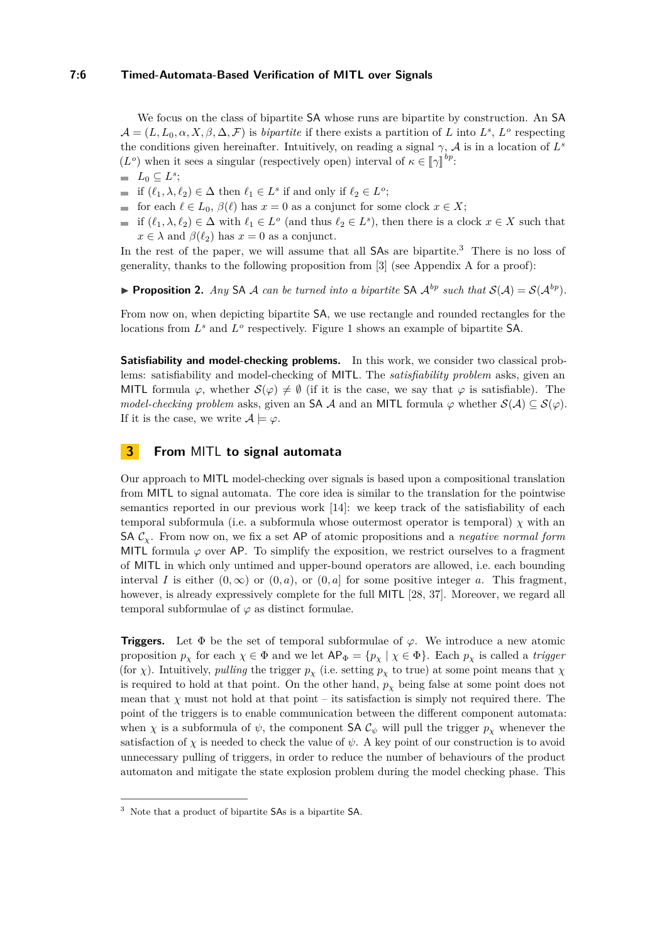## **7:6 Timed-Automata-Based Verification of MITL over Signals**

We focus on the class of bipartite SA whose runs are bipartite by construction. An SA  $\mathcal{A} = (L, L_0, \alpha, X, \beta, \Delta, \mathcal{F})$  is *bipartite* if there exists a partition of *L* into  $L^s$ ,  $L^o$  respecting the conditions given hereinafter. Intuitively, on reading a signal  $\gamma$ ,  $\mathcal{A}$  is in a location of  $L^s$  $(L^o)$  when it sees a singular (respectively open) interval of  $\kappa \in [\![\gamma]\!]^{bp}$ :

- $L_0 \subseteq L^s$ ;
- if  $(\ell_1, \lambda, \ell_2) \in \Delta$  then  $\ell_1 \in L^s$  if and only if  $\ell_2 \in L^o$ ;
- for each  $\ell \in L_0$ ,  $\beta(\ell)$  has  $x = 0$  as a conjunct for some clock  $x \in X$ ;
- if  $(\ell_1, \lambda, \ell_2) \in \Delta$  with  $\ell_1 \in L^o$  (and thus  $\ell_2 \in L^s$ ), then there is a clock  $x \in X$  such that  $x \in \lambda$  and  $\beta(\ell_2)$  has  $x = 0$  as a conjunct.

In the rest of the paper, we will assume that all SAs are bipartite.<sup>[3](#page-5-1)</sup> There is no loss of generality, thanks to the following proposition from [\[3\]](#page-15-5) (see Appendix [A](#page-17-7) for a proof):

<span id="page-5-2"></span>**Proposition 2.** *Any* SA A *can be turned into a bipartite* SA  $A^{bp}$  *such that*  $S(A) = S(A^{bp})$ *.* 

From now on, when depicting bipartite SA, we use rectangle and rounded rectangles for the locations from  $L^s$  and  $L^o$  respectively. Figure [1](#page-8-0) shows an example of bipartite SA.

**Satisfiability and model-checking problems.** In this work, we consider two classical problems: satisfiability and model-checking of MITL. The *satisfiability problem* asks, given an MITL formula  $\varphi$ , whether  $\mathcal{S}(\varphi) \neq \emptyset$  (if it is the case, we say that  $\varphi$  is satisfiable). The *model-checking problem* asks, given an SA A and an MITL formula  $\varphi$  whether  $\mathcal{S}(\mathcal{A}) \subseteq \mathcal{S}(\varphi)$ . If it is the case, we write  $A \models \varphi$ .

# <span id="page-5-0"></span>**3 From** MITL **to signal automata**

Our approach to MITL model-checking over signals is based upon a compositional translation from MITL to signal automata. The core idea is similar to the translation for the pointwise semantics reported in our previous work [\[14\]](#page-15-12): we keep track of the satisfiability of each temporal subformula (i.e. a subformula whose outermost operator is temporal)  $\chi$  with an SA  $\mathcal{C}_{\chi}$ . From now on, we fix a set AP of atomic propositions and a *negative normal form* MITL formula  $\varphi$  over AP. To simplify the exposition, we restrict ourselves to a fragment of MITL in which only untimed and upper-bound operators are allowed, i.e. each bounding interval *I* is either  $(0, \infty)$  or  $(0, a)$ , or  $(0, a]$  for some positive integer *a*. This fragment, however, is already expressively complete for the full MITL [\[28,](#page-16-13) [37\]](#page-17-4). Moreover, we regard all temporal subformulae of  $\varphi$  as distinct formulae.

**Triggers.** Let Φ be the set of temporal subformulae of *ϕ*. We introduce a new atomic proposition  $p_\chi$  for each  $\chi \in \Phi$  and we let  $AP_{\Phi} = \{p_\chi \mid \chi \in \Phi\}$ . Each  $p_\chi$  is called a *trigger* (for *χ*). Intuitively, *pulling* the trigger  $p<sub>\chi</sub>$  (i.e. setting  $p<sub>\chi</sub>$  to true) at some point means that  $\chi$ is required to hold at that point. On the other hand,  $p<sub>\chi</sub>$  being false at some point does not mean that  $\chi$  must not hold at that point – its satisfaction is simply not required there. The point of the triggers is to enable communication between the different component automata: when *χ* is a subformula of  $\psi$ , the component SA  $\mathcal{C}_{\psi}$  will pull the trigger  $p_{\chi}$  whenever the satisfaction of  $\chi$  is needed to check the value of  $\psi$ . A key point of our construction is to avoid unnecessary pulling of triggers, in order to reduce the number of behaviours of the product automaton and mitigate the state explosion problem during the model checking phase. This

<span id="page-5-1"></span><sup>3</sup> Note that a product of bipartite SAs is a bipartite SA.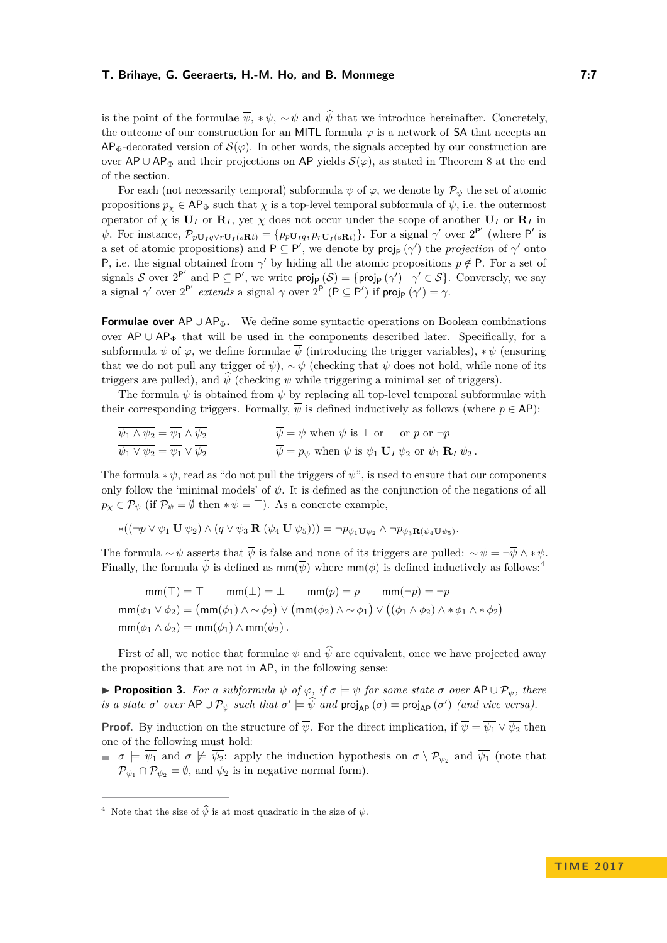is the point of the formulae  $\overline{\psi}$ , \* $\psi$ , ~ $\psi$  and  $\hat{\psi}$  that we introduce hereinafter. Concretely, the outcome of our construction for an MITL formula *ϕ* is a network of SA that accepts an  $AP_{\Phi}$ -decorated version of  $\mathcal{S}(\varphi)$ . In other words, the signals accepted by our construction are over AP ∪ AP<sub> $\Phi$ </sub> and their projections on AP yields  $\mathcal{S}(\varphi)$ , as stated in Theorem [8](#page-10-1) at the end of the section.

For each (not necessarily temporal) subformula  $\psi$  of  $\varphi$ , we denote by  $\mathcal{P}_{\psi}$  the set of atomic propositions  $p_{\chi} \in \mathsf{AP}_{\Phi}$  such that  $\chi$  is a top-level temporal subformula of  $\psi$ , i.e. the outermost operator of  $\chi$  is  $\mathbf{U}_I$  or  $\mathbf{R}_I$ , yet  $\chi$  does not occur under the scope of another  $\mathbf{U}_I$  or  $\mathbf{R}_I$  in  $\psi$ . For instance,  $\mathcal{P}_{p\mathbf{U}_I q\vee r\mathbf{U}_I(s\mathbf{R}t)} = \{p_{p\mathbf{U}_I q}, p_{r\mathbf{U}_I(s\mathbf{R}t)}\}$ . For a signal  $\gamma'$  over  $2^{P'}$  (where P' is a set of atomic propositions) and  $P \subseteq P'$ , we denote by  $proj_P(\gamma')$  the *projection* of  $\gamma'$  onto P, i.e. the signal obtained from  $\gamma'$  by hiding all the atomic propositions  $p \notin P$ . For a set of signals S over  $2^{P'}$  and  $P \subseteq P'$ , we write  $proj_P(\mathcal{S}) = \{proj_P(\gamma') | \gamma' \in \mathcal{S}\}$ . Conversely, we say a signal  $\gamma'$  over  $2^{P'}$  extends a signal  $\gamma$  over  $2^{P'} (P \subseteq P')$  if  $proj_P(\gamma') = \gamma$ .

**Formulae over** AP∪AP<sub> $\Phi$ </sub>. We define some syntactic operations on Boolean combinations over  $AP \cup AP_{\Phi}$  that will be used in the components described later. Specifically, for a subformula  $\psi$  of  $\varphi$ , we define formulae  $\overline{\psi}$  (introducing the trigger variables),  $*\psi$  (ensuring that we do not pull any trigger of  $\psi$ ),  $\sim \psi$  (checking that  $\psi$  does not hold, while none of its triggers are pulled), and  $\psi$  (checking  $\psi$  while triggering a minimal set of triggers).

The formula  $\overline{\psi}$  is obtained from  $\psi$  by replacing all top-level temporal subformulae with their corresponding triggers. Formally,  $\overline{\psi}$  is defined inductively as follows (where  $p \in AP$ ):

$$
\overline{\psi_1 \wedge \psi_2} = \overline{\psi_1} \wedge \overline{\psi_2} \qquad \qquad \overline{\psi} = \psi \text{ when } \psi \text{ is } \top \text{ or } \bot \text{ or } p \text{ or } \neg p
$$
  
\n
$$
\overline{\psi_1 \vee \psi_2} = \overline{\psi_1} \vee \overline{\psi_2} \qquad \qquad \overline{\psi} = p_{\psi} \text{ when } \psi \text{ is } \psi_1 \mathbf{U}_I \psi_2 \text{ or } \psi_1 \mathbf{R}_I \psi_2.
$$

The formula  $*\psi$ , read as "do not pull the triggers of  $\psi$ ", is used to ensure that our components only follow the 'minimal models' of  $\psi$ . It is defined as the conjunction of the negations of all  $p_{\chi} \in \mathcal{P}_{\psi}$  (if  $\mathcal{P}_{\psi} = \emptyset$  then  $*\psi = \top$ ). As a concrete example,

$$
*((\neg p \vee \psi_1 \mathbf{U} \psi_2) \wedge (q \vee \psi_3 \mathbf{R} (\psi_4 \mathbf{U} \psi_5))) = \neg p_{\psi_1 \mathbf{U} \psi_2} \wedge \neg p_{\psi_3 \mathbf{R} (\psi_4 \mathbf{U} \psi_5)}.
$$

The formula  $\sim \psi$  asserts that  $\overline{\psi}$  is false and none of its triggers are pulled:  $\sim \psi = \overline{\psi} \wedge * \psi$ . Finally, the formula  $\hat{\psi}$  is defined as  $\mathsf{mm}(\overline{\psi})$  where  $\mathsf{mm}(\phi)$  is defined inductively as follows:<sup>[4](#page-6-0)</sup>

$$
\mathsf{mm}(\top) = \top \qquad \mathsf{mm}(\bot) = \bot \qquad \mathsf{mm}(p) = p \qquad \mathsf{mm}(\neg p) = \neg p
$$
\n
$$
\mathsf{mm}(\phi_1 \lor \phi_2) = (\mathsf{mm}(\phi_1) \land \sim \phi_2) \lor (\mathsf{mm}(\phi_2) \land \sim \phi_1) \lor ((\phi_1 \land \phi_2) \land * \phi_1 \land * \phi_2)
$$
\n
$$
\mathsf{mm}(\phi_1 \land \phi_2) = \mathsf{mm}(\phi_1) \land \mathsf{mm}(\phi_2).
$$

First of all, we notice that formulae  $\overline{\psi}$  and  $\hat{\psi}$  are equivalent, once we have projected away the propositions that are not in AP, in the following sense:

<span id="page-6-1"></span> $▶$  **Proposition 3.** For a subformula  $ψ$  of  $φ$ , if  $σ$   $\models$   $\overline{ψ}$  for some state  $σ$  over AP  $∪$   $Pψ$ , there *is a state*  $\sigma'$  *over*  $AP \cup P_{\psi}$  *such that*  $\sigma' \models \psi$  *and*  $proj_{AP}(\sigma) = proj_{AP}(\sigma')$  *(and vice versa).* 

**Proof.** By induction on the structure of  $\overline{\psi}$ . For the direct implication, if  $\overline{\psi} = \overline{\psi_1} \vee \overline{\psi_2}$  then one of the following must hold:

 $\sigma = \sigma = \overline{\psi_1}$  and  $\sigma \not\models \overline{\psi_2}$ : apply the induction hypothesis on  $\sigma \setminus \mathcal{P}_{\psi_2}$  and  $\overline{\psi_1}$  (note that  $\mathcal{P}_{\psi_1} \cap \mathcal{P}_{\psi_2} = \emptyset$ , and  $\psi_2$  is in negative normal form).

<span id="page-6-0"></span><sup>&</sup>lt;sup>4</sup> Note that the size of  $\widehat{\psi}$  is at most quadratic in the size of  $\psi$ .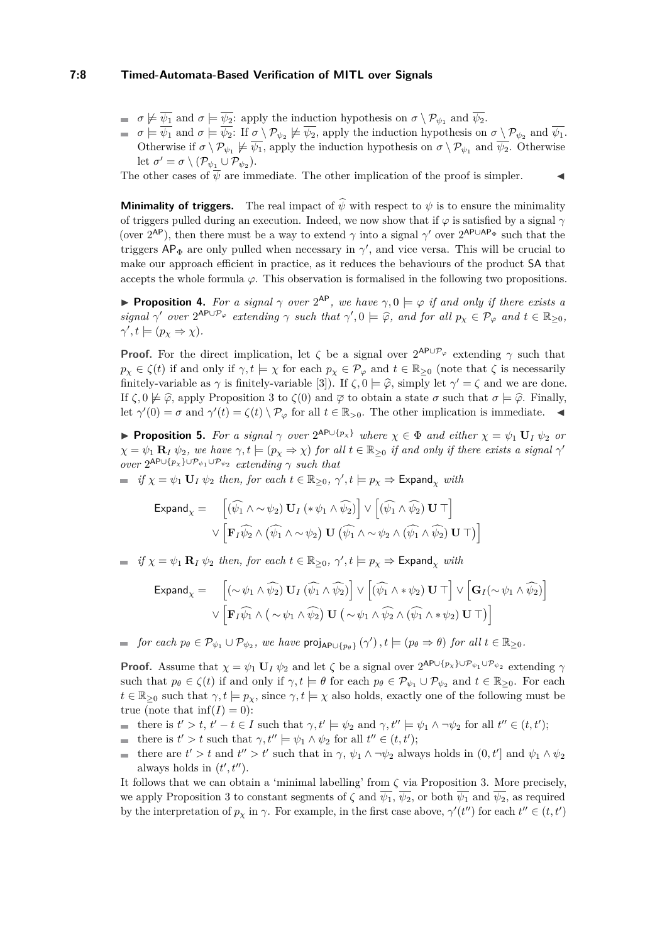#### **7:8 Timed-Automata-Based Verification of MITL over Signals**

- $\sigma \not\models \overline{\psi_1}$  and  $\sigma \models \overline{\psi_2}$ : apply the induction hypothesis on  $\sigma \setminus \mathcal{P}_{\psi_1}$  and  $\overline{\psi_2}$ .
- $\sigma \models \psi_1$  and  $\sigma \models \psi_2$ : If  $\sigma \setminus \mathcal{P}_{\psi_2} \not\models \psi_2$ , apply the induction hypothesis on  $\sigma \setminus \mathcal{P}_{\psi_2}$  and  $\psi_1$ . Otherwise if  $\sigma \setminus \mathcal{P}_{\psi_1} \not\models \overline{\psi_1}$ , apply the induction hypothesis on  $\sigma \setminus \mathcal{P}_{\psi_1}$  and  $\overline{\psi_2}$ . Otherwise let  $\sigma' = \sigma \setminus (\mathcal{P}_{\psi_1} \cup \mathcal{P}_{\psi_2}).$

The other cases of  $\overline{\psi}$  are immediate. The other implication of the proof is simpler.

**Minimality of triggers.** The real impact of  $\hat{\psi}$  with respect to  $\psi$  is to ensure the minimality of triggers pulled during an execution. Indeed, we now show that if  $\varphi$  is satisfied by a signal  $\gamma$ (over  $2^{AP}$ ), then there must be a way to extend  $\gamma$  into a signal  $\gamma'$  over  $2^{AP\cup AP_{\Phi}}$  such that the triggers  $AP_{\Phi}$  are only pulled when necessary in  $\gamma'$ , and vice versa. This will be crucial to make our approach efficient in practice, as it reduces the behaviours of the product SA that accepts the whole formula  $\varphi$ . This observation is formalised in the following two propositions.

**Proposition 4.** For a signal  $\gamma$  over  $2^{AP}$ , we have  $\gamma, 0 \models \varphi$  if and only if there exists a *signal*  $\gamma'$  *over*  $2^{AP \cup P_{\varphi}}$  *extending*  $\gamma$  *such that*  $\gamma', 0 \models \widehat{\varphi}$ *, and for all*  $p_{\chi} \in \mathcal{P}_{\varphi}$  *and*  $t \in \mathbb{R}_{\geq 0}$ *,*  $\gamma', t \models (p_\chi \Rightarrow \chi).$ 

**Proof.** For the direct implication, let  $\zeta$  be a signal over  $2^{AP\cup P_{\varphi}}$  extending  $\gamma$  such that  $p_\chi \in \zeta(t)$  if and only if  $\gamma, t \models \chi$  for each  $p_\chi \in \mathcal{P}_\varphi$  and  $t \in \mathbb{R}_{\geq 0}$  (note that  $\zeta$  is necessarily finitely-variable as  $\gamma$  is finitely-variable [\[3\]](#page-15-5)). If  $\zeta$ ,  $0 \models \hat{\varphi}$ , simply let  $\gamma' = \zeta$  and we are done. If  $\zeta$ , 0  $\not\models \hat{\varphi}$ , apply Proposition [3](#page-6-1) to  $\zeta(0)$  and  $\overline{\varphi}$  to obtain a state  $\sigma$  such that  $\sigma \models \hat{\varphi}$ . Finally, let  $\gamma'(0) = \sigma$  and  $\gamma'(t) = \zeta(t) \setminus \mathcal{P}_{\varphi}$  for all  $t \in \mathbb{R}_{>0}$ . The other implication is immediate.

<span id="page-7-0"></span>**Proposition 5.** For a signal  $\gamma$  over  $2^{AP \cup \{p_{\chi}\}}$  where  $\chi \in \Phi$  and either  $\chi = \psi_1 \mathbf{U}_I \psi_2$  or  $\chi = \psi_1 \mathbf{R}_I \psi_2$ , we have  $\gamma, t \models (p_\chi \Rightarrow \chi)$  for all  $t \in \mathbb{R}_{\geq 0}$  if and only if there exists a signal  $\gamma'$  $over 2^{AP \cup \{p_\chi\} \cup \mathcal{P}_{\psi_1} \cup \mathcal{P}_{\psi_2}}$  *extending*  $\gamma$  *such that* 

 $if \ \chi = \psi_1 \ \mathbf{U}_I \ \psi_2 \ \text{then, for each } t \in \mathbb{R}_{\geq 0}, \ \gamma', t \models p_\chi \Rightarrow \mathsf{Expand}_\chi \ \text{with}$ 

$$
\text{Expand}_{\chi} = \left[ (\widehat{\psi_1} \land \sim \psi_2) \mathbf{U}_I \left( * \psi_1 \land \widehat{\psi_2} \right) \right] \lor \left[ (\widehat{\psi_1} \land \widehat{\psi_2}) \mathbf{U} \top \right] \lor \left[ \mathbf{F}_I \widehat{\psi_2} \land (\widehat{\psi_1} \land \sim \psi_2) \mathbf{U} \left( \widehat{\psi_1} \land \sim \psi_2 \land (\widehat{\psi_1} \land \widehat{\psi_2}) \mathbf{U} \top \right) \right]
$$

 $if \ \chi = \psi_1 \mathbf{R}_I \ \psi_2 \ \text{then, for each } t \in \mathbb{R}_{\geq 0}, \ \gamma', t \models p_\chi \Rightarrow \mathsf{Expand}_\chi \ \text{with}$ 

$$
\text{Expand}_{\chi} = \left[ (\sim \psi_1 \land \widehat{\psi_2}) \mathbf{U}_I (\widehat{\psi_1} \land \widehat{\psi_2}) \right] \lor \left[ (\widehat{\psi_1} \land * \psi_2) \mathbf{U} \top \right] \lor \left[ \mathbf{G}_I (\sim \psi_1 \land \widehat{\psi_2}) \right]
$$

$$
\lor \left[ \mathbf{F}_I \widehat{\psi_1} \land (\sim \psi_1 \land \widehat{\psi_2}) \mathbf{U} (\sim \psi_1 \land \widehat{\psi_2} \land (\widehat{\psi_1} \land * \psi_2) \mathbf{U} \top) \right]
$$

 $for \ each \ p_{\theta} \in \mathcal{P}_{\psi_1} \cup \mathcal{P}_{\psi_2}, \ we \ have \ \text{proj}_{\mathsf{AP}\cup\{p_{\theta}\}}(\gamma'), t \models (p_{\theta} \Rightarrow \theta) \ \text{for all } t \in \mathbb{R}_{\geq 0}.$ 

**Proof.** Assume that  $\chi = \psi_1 \mathbf{U}_I \psi_2$  and let  $\zeta$  be a signal over  $2^{\mathsf{AP} \cup \{p_\chi\} \cup \mathcal{P}_{\psi_1} \cup \mathcal{P}_{\psi_2}}$  extending  $\gamma$ such that  $p_{\theta} \in \zeta(t)$  if and only if  $\gamma, t \models \theta$  for each  $p_{\theta} \in \mathcal{P}_{\psi_1} \cup \mathcal{P}_{\psi_2}$  and  $t \in \mathbb{R}_{\geq 0}$ . For each  $t \in \mathbb{R}_{\geq 0}$  such that  $\gamma, t \models p_\chi$ , since  $\gamma, t \models \chi$  also holds, exactly one of the following must be true (note that  $\inf(I) = 0$ ):

- there is  $t' > t$ ,  $t' t \in I$  such that  $\gamma, t' \models \psi_2$  and  $\gamma, t'' \models \psi_1 \land \neg \psi_2$  for all  $t'' \in (t, t')$ ;
- there is  $t' > t$  such that  $\gamma, t'' \models \psi_1 \land \psi_2$  for all  $t'' \in (t, t')$ ;
- there are  $t' > t$  and  $t'' > t'$  such that in  $\gamma$ ,  $\psi_1 \wedge \neg \psi_2$  always holds in  $(0, t']$  and  $\psi_1 \wedge \psi_2$ always holds in  $(t', t'')$ .

It follows that we can obtain a 'minimal labelling' from *ζ* via Proposition [3.](#page-6-1) More precisely, we apply Proposition [3](#page-6-1) to constant segments of  $\zeta$  and  $\overline{\psi_1}$ ,  $\overline{\psi_2}$ , or both  $\overline{\psi_1}$  and  $\overline{\psi_2}$ , as required by the interpretation of  $p_\chi$  in  $\gamma$ . For example, in the first case above,  $\gamma'(t'')$  for each  $t'' \in (t, t')$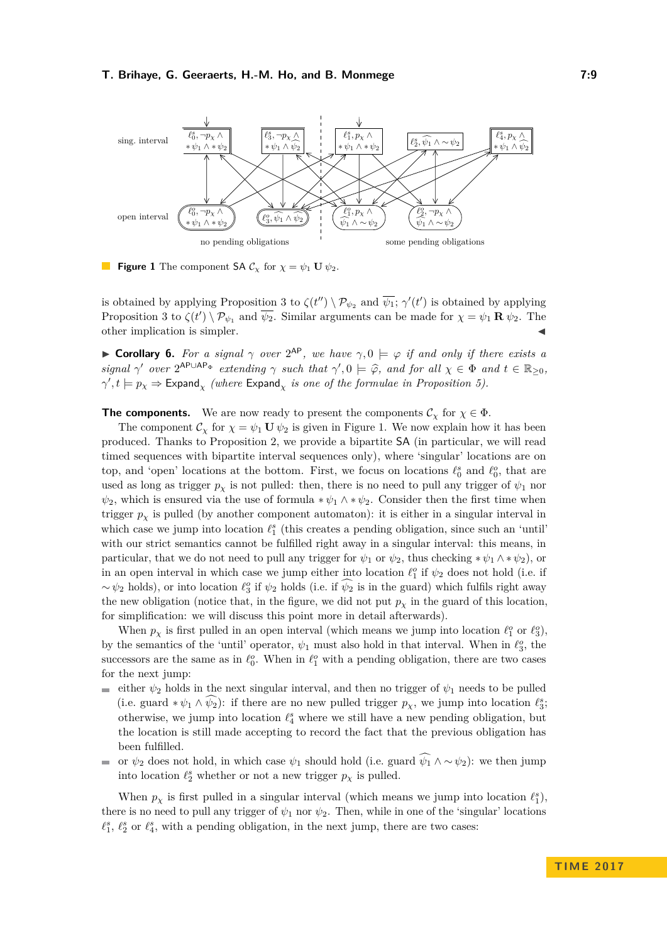<span id="page-8-0"></span>

**Figure 1** The component SA  $\mathcal{C}_{\chi}$  for  $\chi = \psi_1 \mathbf{U} \psi_2$ .

is obtained by applying Proposition [3](#page-6-1) to  $\zeta(t'') \setminus \mathcal{P}_{\psi_2}$  and  $\overline{\psi_1}$ ;  $\gamma'(t')$  is obtained by applying Proposition [3](#page-6-1) to  $\zeta(t') \setminus \mathcal{P}_{\psi_1}$  and  $\overline{\psi_2}$ . Similar arguments can be made for  $\chi = \psi_1 \mathbf{R} \psi_2$ . The other implication is simpler.

**Corollary 6.** For a signal  $\gamma$  over  $2^{AP}$ , we have  $\gamma$ ,  $0 \models \varphi$  if and only if there exists a *signal*  $\gamma'$  *over*  $2^{AP\cup AP\Phi}$  *extending*  $\gamma$  *such that*  $\gamma', 0 \models \hat{\varphi}$ *, and for all*  $\chi \in \Phi$  *and*  $t \in \mathbb{R}_{\geq 0}$ *,*  $\gamma', t \models p_\chi \Rightarrow \textsf{Expand}_\chi$  *(where*  $\textsf{Expand}_\chi$  *is one of the formulae in Proposition [5\)](#page-7-0).* 

**The components.** We are now ready to present the components  $\mathcal{C}_{\chi}$  for  $\chi \in \Phi$ .

The component  $\mathcal{C}_{\chi}$  for  $\chi = \psi_1 \mathbf{U} \psi_2$  is given in Figure [1.](#page-8-0) We now explain how it has been produced. Thanks to Proposition [2,](#page-5-2) we provide a bipartite SA (in particular, we will read timed sequences with bipartite interval sequences only), where 'singular' locations are on top, and 'open' locations at the bottom. First, we focus on locations  $\ell_0^s$  and  $\ell_0^o$ , that are used as long as trigger  $p<sub>x</sub>$  is not pulled: then, there is no need to pull any trigger of  $\psi<sub>1</sub>$  nor  $\psi_2$ , which is ensured via the use of formula  $*\psi_1 \wedge *\psi_2$ . Consider then the first time when trigger  $p<sub>x</sub>$  is pulled (by another component automaton): it is either in a singular interval in which case we jump into location  $\ell_1^s$  (this creates a pending obligation, since such an 'until' with our strict semantics cannot be fulfilled right away in a singular interval: this means, in particular, that we do not need to pull any trigger for  $\psi_1$  or  $\psi_2$ , thus checking  $*\psi_1 \wedge *\psi_2$ , or in an open interval in which case we jump either into location  $\ell_1^o$  if  $\psi_2$  does not hold (i.e. if  $\sim \psi_2$  holds), or into location  $\ell_3^o$  if  $\psi_2$  holds (i.e. if  $\psi_2$  is in the guard) which fulfils right away the new obligation (notice that, in the figure, we did not put  $p<sub>x</sub>$  in the guard of this location, for simplification: we will discuss this point more in detail afterwards).

When  $p_\chi$  is first pulled in an open interval (which means we jump into location  $\ell_1^o$  or  $\ell_3^o$ ), by the semantics of the 'until' operator,  $\psi_1$  must also hold in that interval. When in  $\ell_3^o$ , the successors are the same as in  $\ell_0^o$ . When in  $\ell_1^o$  with a pending obligation, there are two cases for the next jump:

- either  $\psi_2$  holds in the next singular interval, and then no trigger of  $\psi_1$  needs to be pulled (i.e. guard  $*\psi_1 \wedge \psi_2$ ): if there are no new pulled trigger  $p_\chi$ , we jump into location  $\ell_3^s$ ; otherwise, we jump into location  $\ell_4^s$  where we still have a new pending obligation, but the location is still made accepting to record the fact that the previous obligation has been fulfilled.
- or  $\psi_2$  does not hold, in which case  $\psi_1$  should hold (i.e. guard  $\widehat{\psi_1} \wedge \sim \psi_2$ ): we then jump into location  $\ell_2^s$  whether or not a new trigger  $p_\chi$  is pulled.

When  $p_\chi$  is first pulled in a singular interval (which means we jump into location  $\ell_1^s$ ), there is no need to pull any trigger of  $\psi_1$  nor  $\psi_2$ . Then, while in one of the 'singular' locations  $\ell_1^s$ ,  $\ell_2^s$  or  $\ell_4^s$ , with a pending obligation, in the next jump, there are two cases: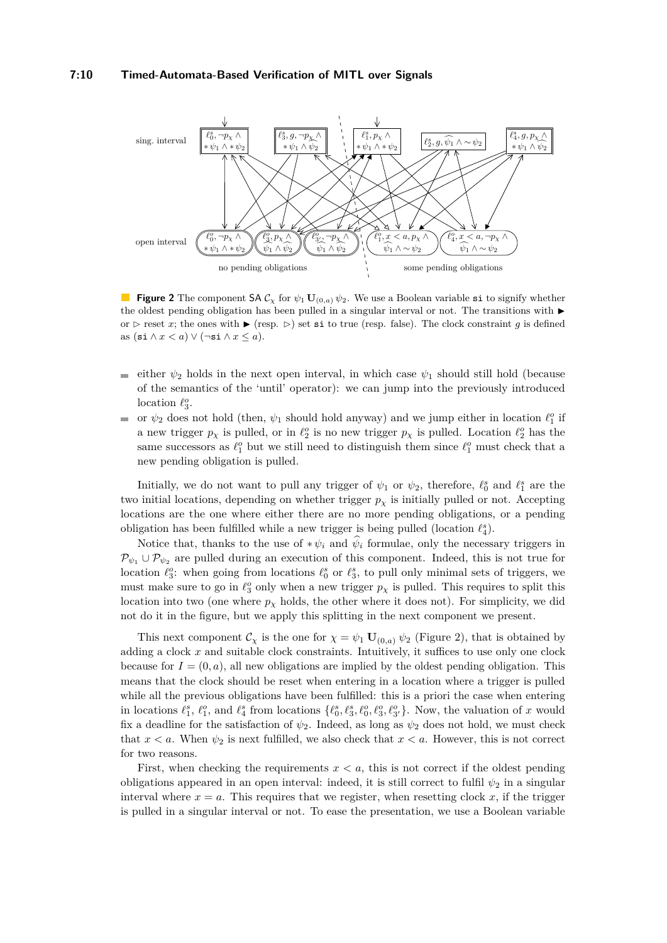#### **7:10 Timed-Automata-Based Verification of MITL over Signals**

<span id="page-9-0"></span>

**Figure 2** The component  $S A C_\chi$  for  $\psi_1 \mathbf{U}_{(0,a)} \psi_2$ . We use a Boolean variable si to signify whether the oldest pending obligation has been pulled in a singular interval or not. The transitions with  $\blacktriangleright$ or  $\triangleright$  reset *x*; the ones with  $\triangleright$  (resp.  $\triangleright$ ) set si to true (resp. false). The clock constraint *g* is defined as  $(\sin \wedge x < a) \vee (\neg \sin \wedge x \le a).$ 

- either  $\psi_2$  holds in the next open interval, in which case  $\psi_1$  should still hold (because of the semantics of the 'until' operator): we can jump into the previously introduced location  $\ell_3^o$ .
- or  $\psi_2$  does not hold (then,  $\psi_1$  should hold anyway) and we jump either in location  $\ell_1^o$  if a new trigger  $p_\chi$  is pulled, or in  $\ell_2^o$  is no new trigger  $p_\chi$  is pulled. Location  $\ell_2^o$  has the same successors as  $\ell_1^o$  but we still need to distinguish them since  $\ell_1^o$  must check that a new pending obligation is pulled.

Initially, we do not want to pull any trigger of  $\psi_1$  or  $\psi_2$ , therefore,  $\ell_0^s$  and  $\ell_1^s$  are the two initial locations, depending on whether trigger  $p<sub>x</sub>$  is initially pulled or not. Accepting locations are the one where either there are no more pending obligations, or a pending obligation has been fulfilled while a new trigger is being pulled (location  $\ell_4^s$ ).

Notice that, thanks to the use of  $*\psi_i$  and  $\psi_i$  formulae, only the necessary triggers in  $\mathcal{P}_{\psi_1} \cup \mathcal{P}_{\psi_2}$  are pulled during an execution of this component. Indeed, this is not true for location  $\ell_3^o$ : when going from locations  $\ell_0^s$  or  $\ell_3^s$ , to pull only minimal sets of triggers, we must make sure to go in  $\ell_3^o$  only when a new trigger  $p_\chi$  is pulled. This requires to split this location into two (one where  $p<sub>x</sub>$  holds, the other where it does not). For simplicity, we did not do it in the figure, but we apply this splitting in the next component we present.

This next component  $\mathcal{C}_{\chi}$  is the one for  $\chi = \psi_1 \mathbf{U}_{(0,a)} \psi_2$  (Figure [2\)](#page-9-0), that is obtained by adding a clock *x* and suitable clock constraints. Intuitively, it suffices to use only one clock because for  $I = (0, a)$ , all new obligations are implied by the oldest pending obligation. This means that the clock should be reset when entering in a location where a trigger is pulled while all the previous obligations have been fulfilled: this is a priori the case when entering in locations  $\ell_1^s$ ,  $\ell_1^o$ , and  $\ell_4^s$  from locations  $\{\ell_0^s, \ell_3^s, \ell_0^o, \ell_3^o, \ell_3^o\}$ . Now, the valuation of x would fix a deadline for the satisfaction of  $\psi_2$ . Indeed, as long as  $\psi_2$  does not hold, we must check that  $x < a$ . When  $\psi_2$  is next fulfilled, we also check that  $x < a$ . However, this is not correct for two reasons.

First, when checking the requirements  $x < a$ , this is not correct if the oldest pending obligations appeared in an open interval: indeed, it is still correct to fulfil  $\psi_2$  in a singular interval where  $x = a$ . This requires that we register, when resetting clock  $x$ , if the trigger is pulled in a singular interval or not. To ease the presentation, we use a Boolean variable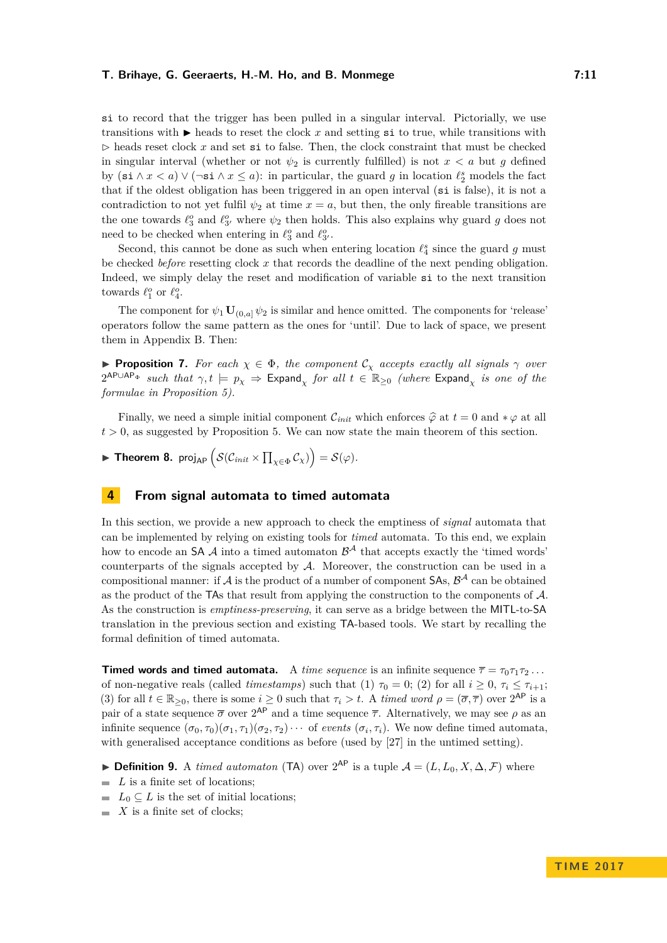si to record that the trigger has been pulled in a singular interval. Pictorially, we use transitions with  $\blacktriangleright$  heads to reset the clock *x* and setting si to true, while transitions with  $\triangleright$  heads reset clock *x* and set si to false. Then, the clock constraint that must be checked in singular interval (whether or not  $\psi_2$  is currently fulfilled) is not  $x < a$  but g defined by  $(\textbf{s} \textbf{i} \wedge x < a) \vee (\neg \textbf{s} \textbf{i} \wedge x \le a)$ : in particular, the guard *g* in location  $\ell_2^s$  models the fact that if the oldest obligation has been triggered in an open interval (si is false), it is not a contradiction to not yet fulfil  $\psi_2$  at time  $x = a$ , but then, the only fireable transitions are the one towards  $\ell_3^o$  and  $\ell_{3'}^o$  where  $\psi_2$  then holds. This also explains why guard *g* does not need to be checked when entering in  $\ell_3^o$  and  $\ell_{3'}^o$ .

Second, this cannot be done as such when entering location  $\ell_4^s$  since the guard *g* must be checked *before* resetting clock *x* that records the deadline of the next pending obligation. Indeed, we simply delay the reset and modification of variable si to the next transition towards  $\ell_1^o$  or  $\ell_4^o$ .

The component for  $\psi_1 \mathbf{U}_{(0,a]} \psi_2$  is similar and hence omitted. The components for 'release' operators follow the same pattern as the ones for 'until'. Due to lack of space, we present them in Appendix [B.](#page-18-1) Then:

**Proposition 7.** For each  $\chi \in \Phi$ , the component  $\mathcal{C}_{\chi}$  accepts exactly all signals  $\gamma$  over  $2^{\mathsf{APUAP_{\Phi}}}$  *such that*  $\gamma, t \models p_{\chi} \Rightarrow \mathsf{Expand}_{\chi}$  *for all*  $t \in \mathbb{R}_{\geq 0}$  *(where*  $\mathsf{Expand}_{\chi}$  *is one of the formulae in Proposition [5\)](#page-7-0).*

Finally, we need a simple initial component  $\mathcal{C}_{init}$  which enforces  $\hat{\varphi}$  at  $t = 0$  and  $*\varphi$  at all  $t > 0$ , as suggested by Proposition [5.](#page-7-0) We can now state the main theorem of this section.

<span id="page-10-1"></span>**Find Theorem 8.** proj<sub>AP</sub>  $\Big(\mathcal{S}(\mathcal{C}_{init}\times\prod_{\chi\in\Phi}\mathcal{C}_{\chi})\Big)=\mathcal{S}(\varphi).$ 

# <span id="page-10-0"></span>**4 From signal automata to timed automata**

In this section, we provide a new approach to check the emptiness of *signal* automata that can be implemented by relying on existing tools for *timed* automata. To this end, we explain how to encode an SA  $\mathcal A$  into a timed automaton  $\mathcal B^{\mathcal A}$  that accepts exactly the 'timed words' counterparts of the signals accepted by A. Moreover, the construction can be used in a compositional manner: if  $A$  is the product of a number of component SAs,  $B^A$  can be obtained as the product of the TAs that result from applying the construction to the components of  $\mathcal{A}$ . As the construction is *emptiness-preserving*, it can serve as a bridge between the MITL-to-SA translation in the previous section and existing TA-based tools. We start by recalling the formal definition of timed automata.

**Timed words and timed automata.** A *time sequence* is an infinite sequence  $\bar{\tau} = \tau_0 \tau_1 \tau_2 \dots$ of non-negative reals (called *timestamps*) such that (1)  $\tau_0 = 0$ ; (2) for all  $i \geq 0$ ,  $\tau_i \leq \tau_{i+1}$ ; (3) for all  $t \in \mathbb{R}_{\geq 0}$ , there is some  $i \geq 0$  such that  $\tau_i > t$ . A *timed word*  $\rho = (\overline{\sigma}, \overline{\tau})$  over  $2^{\mathsf{AP}}$  is a pair of a state sequence  $\bar{\sigma}$  over  $2^{AP}$  and a time sequence  $\bar{\tau}$ . Alternatively, we may see  $\rho$  as an infinite sequence  $(\sigma_0, \tau_0)(\sigma_1, \tau_1)(\sigma_2, \tau_2) \cdots$  of *events*  $(\sigma_i, \tau_i)$ . We now define timed automata, with generalised acceptance conditions as before (used by [\[27\]](#page-16-9) in the untimed setting).

- ▶ **Definition 9.** A *timed automaton* (TA) over  $2^{AP}$  is a tuple  $A = (L, L_0, X, \Delta, \mathcal{F})$  where
- $\blacksquare$  *L* is a finite set of locations;
- $L_0 \subseteq L$  is the set of initial locations;
- $\blacksquare$  *X* is a finite set of clocks;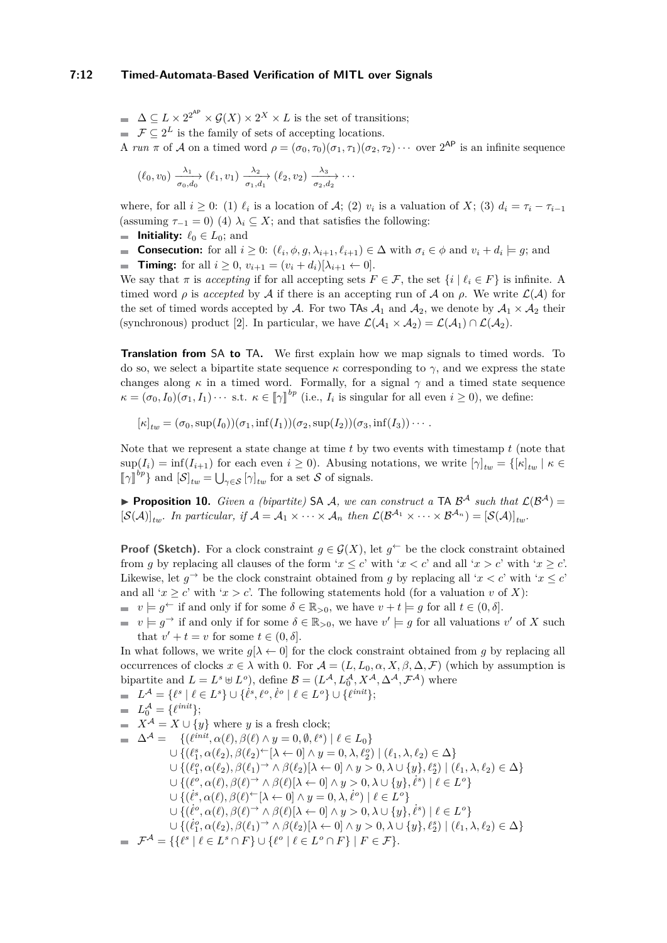#### **7:12 Timed-Automata-Based Verification of MITL over Signals**

 $\Delta \subseteq L \times 2^{2^{AP}} \times \mathcal{G}(X) \times 2^{X} \times L$  is the set of transitions;  $\mathcal{F} \subseteq 2^L$  is the family of sets of accepting locations.

A *run*  $\pi$  of A on a timed word  $\rho = (\sigma_0, \tau_0)(\sigma_1, \tau_1)(\sigma_2, \tau_2) \cdots$  over  $2^{AP}$  is an infinite sequence

$$
(\ell_0, v_0) \xrightarrow[\sigma_0, d_0]{\lambda_1} (\ell_1, v_1) \xrightarrow[\sigma_1, d_1]{\lambda_2} (\ell_2, v_2) \xrightarrow[\sigma_2, d_2]{\lambda_3} \cdots
$$

where, for all  $i \geq 0$ : (1)  $\ell_i$  is a location of A; (2)  $v_i$  is a valuation of X; (3)  $d_i = \tau_i - \tau_{i-1}$ (assuming  $\tau_{-1} = 0$ ) (4)  $\lambda_i \subseteq X$ ; and that satisfies the following:

- **Initiality:**  $\ell_0 \in L_0$ ; and
- **Consecution:** for all  $i \geq 0$ :  $(\ell_i, \phi, g, \lambda_{i+1}, \ell_{i+1}) \in \Delta$  with  $\sigma_i \in \phi$  and  $v_i + d_i \models g$ ; and
- **Timing:** for all  $i \ge 0$ ,  $v_{i+1} = (v_i + d_i)[\lambda_{i+1} \leftarrow 0].$

We say that  $\pi$  is *accepting* if for all accepting sets  $F \in \mathcal{F}$ , the set  $\{i \mid \ell_i \in F\}$  is infinite. A timed word  $\rho$  is *accepted* by A if there is an accepting run of A on  $\rho$ . We write  $\mathcal{L}(\mathcal{A})$  for the set of timed words accepted by A. For two TAs  $A_1$  and  $A_2$ , we denote by  $A_1 \times A_2$  their (synchronous) product [\[2\]](#page-15-0). In particular, we have  $\mathcal{L}(\mathcal{A}_1 \times \mathcal{A}_2) = \mathcal{L}(\mathcal{A}_1) \cap \mathcal{L}(\mathcal{A}_2)$ .

**Translation from** SA **to** TA**.** We first explain how we map signals to timed words. To do so, we select a bipartite state sequence *κ* corresponding to *γ*, and we express the state changes along  $\kappa$  in a timed word. Formally, for a signal  $\gamma$  and a timed state sequence  $\kappa = (\sigma_0, I_0)(\sigma_1, I_1) \cdots$  s.t.  $\kappa \in [\![\gamma]\!]^{bp}$  (i.e.,  $I_i$  is singular for all even  $i \geq 0$ ), we define:

 $[\kappa]_{tw} = (\sigma_0, \sup(I_0))(\sigma_1, \inf(I_1))(\sigma_2, \sup(I_2))(\sigma_3, \inf(I_3)) \cdots$ 

Note that we represent a state change at time *t* by two events with timestamp *t* (note that  $\sup(I_i) = \inf(I_{i+1})$  for each even  $i \geq 0$ ). Abusing notations, we write  $[\gamma]_{tw} = {\kappa \in \mathbb{R}^d}$   $\forall$  $[\![\gamma]\!]^{bp}$  and  $[\![\mathcal{S}]\!]_{tw} = \bigcup_{\gamma \in \mathcal{S}} [\gamma]_{tw}$  for a set S of signals.

<span id="page-11-0"></span>**Proposition 10.** *Given a (bipartite)* SA A, we can construct a TA  $\mathcal{B}^{\mathcal{A}}$  such that  $\mathcal{L}(\mathcal{B}^{\mathcal{A}})$  =  $[\mathcal{S}(\mathcal{A})]_{tw}$ *. In particular, if*  $\mathcal{A} = \mathcal{A}_1 \times \cdots \times \mathcal{A}_n$  then  $\mathcal{L}(\mathcal{B}^{\mathcal{A}_1} \times \cdots \times \mathcal{B}^{\mathcal{A}_n}) = [\mathcal{S}(\mathcal{A})]_{tw}$ *.* 

**Proof (Sketch).** For a clock constraint  $g \in \mathcal{G}(X)$ , let  $g^{\leftarrow}$  be the clock constraint obtained from *q* by replacing all clauses of the form ' $x < c$ ' with ' $x < c$ ' and all ' $x > c$ ' with ' $x > c$ '. Likewise, let  $g \to b$  be the clock constraint obtained from *g* by replacing all ' $x < c$ ' with ' $x \leq c$ ' and all ' $x \geq c$ ' with ' $x > c$ '. The following statements hold (for a valuation *v* of *X*):

- $v \models q^{\leftarrow}$  if and only if for some  $\delta \in \mathbb{R}_{>0}$ , we have  $v + t \models q$  for all  $t \in (0, \delta]$ .
- $v \models g^{\rightarrow}$  if and only if for some  $\delta \in \mathbb{R}_{>0}$ , we have  $v' \models g$  for all valuations  $v'$  of *X* such that  $v' + t = v$  for some  $t \in (0, \delta]$ .

In what follows, we write  $g[\lambda \leftarrow 0]$  for the clock constraint obtained from *g* by replacing all occurrences of clocks  $x \in \lambda$  with 0. For  $\mathcal{A} = (L, L_0, \alpha, X, \beta, \Delta, \mathcal{F})$  (which by assumption is bipartite and  $L = L^s \oplus L^o$ , define  $\mathcal{B} = (L^{\mathcal{A}}, L_0^{\mathcal{A}}, X^{\mathcal{A}}, \Delta^{\mathcal{A}}, \mathcal{F}^{\mathcal{A}})$  where

$$
L^{\mathcal{A}} = \{ \ell^s \mid \ell \in L^s \} \cup \{ \ell^s, \ell^o, \ell^o \mid \ell \in L^o \} \cup \{ \ell^{init} \};
$$
  
=  $L_0^{\mathcal{A}} = \{ \ell^{init} \};$ 

- $\blacksquare$  *X*<sup>A</sup> = *X* ∪ {*y*} where *y* is a fresh clock;  $\Delta^{A} = \{(\ell^{init}, \alpha(\ell), \beta(\ell) \land y = 0, \emptyset, \ell^{s}) \mid \ell \in L_{0}\}\$  $\cup$  { $(\ell_1^s, \alpha(\ell_2), \beta(\ell_2) \in [\lambda \leftarrow 0] \land y = 0, \lambda, \ell_2^o) \mid (\ell_1, \lambda, \ell_2) \in \Delta$ }  $\cup$  { $(\ell_1^o, \alpha(\ell_2), \beta(\ell_1) \rightarrow \land \beta(\ell_2)[\lambda \leftarrow 0] \land y > 0, \lambda \cup \{y\}, \ell_2^s) \mid (\ell_1, \lambda, \ell_2) \in \Delta\}$  $\cup$  { $(\ell^o, \alpha(\ell), \beta(\ell)^{\rightarrow} \land \beta(\ell)[\lambda \leftarrow 0] \land y > 0, \lambda \cup \{y\}, \ell^s) \mid \ell \in L^o$ }  $\cup$  { $(\ell^s, \alpha(\ell), \beta(\ell) \in [\lambda \leftarrow 0] \land y = 0, \lambda, \ell^o) \mid \ell \in L^o$ }
	- $\cup$  { $(\ell^o, \alpha(\ell), \beta(\ell)^{\rightarrow} \land \beta(\ell)[\lambda \leftarrow 0] \land y > 0, \lambda \cup \{y\}, \ell^s) \mid \ell \in L^o$ }
	- $\cup$  { $(\ell_1^o, \alpha(\ell_2), \beta(\ell_1) \rightarrow \land \beta(\ell_2)[\lambda \leftarrow 0] \land y > 0, \lambda \cup \{y\}, \ell_2^s) \mid (\ell_1, \lambda, \ell_2) \in \Delta\}$

$$
\mathbb{I} \quad \mathcal{F}^{\mathcal{A}} = \{ \{ \ell^s \mid \ell \in L^s \cap F \} \cup \{ \ell^o \mid \ell \in L^o \cap F \} \mid F \in \mathcal{F} \}.
$$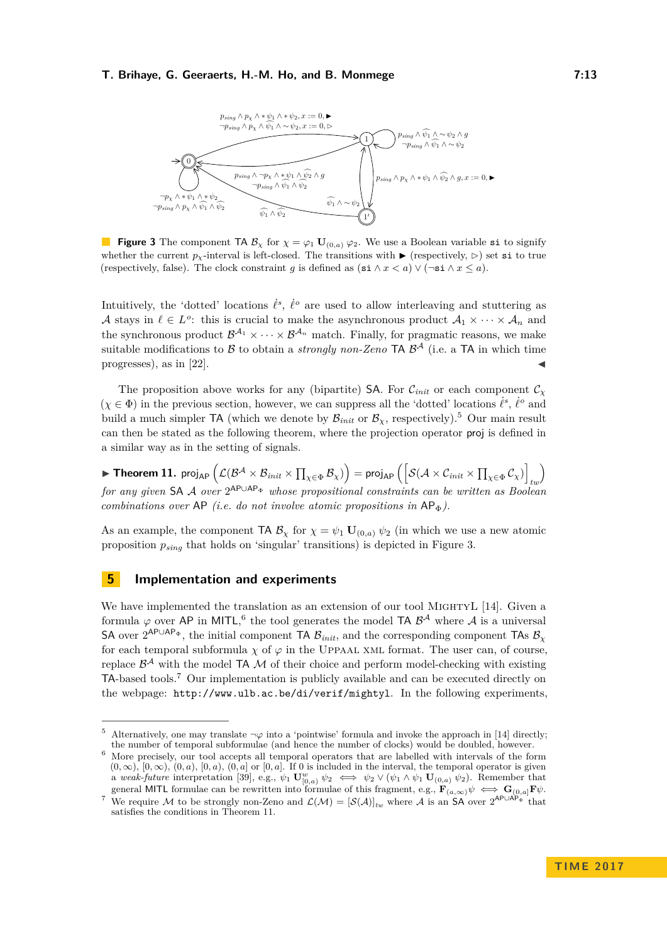<span id="page-12-3"></span>

**Figure 3** The component TA  $\mathcal{B}_{\chi}$  for  $\chi = \varphi_1 \mathbf{U}_{(0,a)} \varphi_2$ . We use a Boolean variable si to signify whether the current  $p_{\chi}$ -interval is left-closed. The transitions with  $\blacktriangleright$  (respectively,  $\triangleright$ ) set si to true (respectively, false). The clock constraint *g* is defined as  $(\text{si } \wedge x \le a) \vee (\neg \text{si } \wedge x \le a)$ .

Intuitively, the 'dotted' locations  $\dot{\ell}^s$ ,  $\dot{\ell}^o$  are used to allow interleaving and stuttering as A stays in  $\ell \in L^o$ : this is crucial to make the asynchronous product  $\mathcal{A}_1 \times \cdots \times \mathcal{A}_n$  and the synchronous product  $\mathcal{B}^{\mathcal{A}_1} \times \cdots \times \mathcal{B}^{\mathcal{A}_n}$  match. Finally, for pragmatic reasons, we make suitable modifications to  $\beta$  to obtain a *strongly non-Zeno* TA  $\beta^{\mathcal{A}}$  (i.e. a TA in which time progresses), as in  $[22]$ .

The proposition above works for any (bipartite) SA. For  $\mathcal{C}_{init}$  or each component  $\mathcal{C}_{\chi}$  $(\chi \in \Phi)$  in the previous section, however, we can suppress all the 'dotted' locations  $\dot{\ell}^s$ ,  $\dot{\ell}^o$  and build a much simpler TA (which we denote by  $\mathcal{B}_{init}$  or  $\mathcal{B}_{\chi}$ , respectively).<sup>[5](#page-12-2)</sup> Our main result can then be stated as the following theorem, where the projection operator proj is defined in a similar way as in the setting of signals.

<span id="page-12-0"></span> $\blacktriangleright$  Theorem 11. proj $_{\sf AP}$   $\left( \mathcal{L}(\mathcal{B}^{\mathcal{A}} \times \mathcal{B}_{init} \times \prod_{\chi \in \Phi} \mathcal{B}_{\chi}) \right) =$  proj $_{\sf AP}$   $\left( \left[ \mathcal{S}(\mathcal{A} \times \mathcal{C}_{init} \times \prod_{\chi \in \Phi} \mathcal{C}_{\chi}) \right]_{\star \omega} \right)$ *for any given* SA A *over* 2<sup>AP∪AP</sup>⊕ *whose propositional constraints can be written as Boolean combinations over*  $AP$  *(i.e. do not involve atomic propositions in*  $AP_{\Phi}$ *).* 

As an example, the component TA  $\mathcal{B}_{\chi}$  for  $\chi = \psi_1 \mathbf{U}_{(0,a)} \psi_2$  (in which we use a new atomic proposition *psing* that holds on 'singular' transitions) is depicted in Figure [3.](#page-12-3)

## <span id="page-12-1"></span>**5 Implementation and experiments**

We have implemented the translation as an extension of our tool MIGHTYL [\[14\]](#page-15-12). Given a formula  $\varphi$  over AP in MITL,<sup>[6](#page-12-4)</sup> the tool generates the model TA  $\mathcal{B}^{\mathcal{A}}$  where  $\mathcal{A}$  is a universal SA over  $2^{AP\cup AP_{\Phi}}$ , the initial component TA  $B_{init}$ , and the corresponding component TAs  $B_{\chi}$ for each temporal subformula  $\chi$  of  $\varphi$  in the UPPAAL XML format. The user can, of course, replace  $\mathcal{B}^{\mathcal{A}}$  with the model TA M of their choice and perform model-checking with existing TA-based tools.[7](#page-12-5) Our implementation is publicly available and can be executed directly on the webpage: <http://www.ulb.ac.be/di/verif/mightyl>. In the following experiments,

<span id="page-12-2"></span>Alternatively, one may translate  $\neg \varphi$  into a 'pointwise' formula and invoke the approach in [\[14\]](#page-15-12) directly; the number of temporal subformulae (and hence the number of clocks) would be doubled, however.

<span id="page-12-4"></span><sup>6</sup> More precisely, our tool accepts all temporal operators that are labelled with intervals of the form  $(0, \infty)$ ,  $[0, \infty)$ ,  $(0, a)$ ,  $[0, a)$ ,  $(0, a)$  or  $[0, a]$ . If 0 is included in the interval, the temporal operator is given a *weak-future* interpretation [\[39\]](#page-17-8), e.g.,  $\psi_1 \mathbf{U}_{[0,a)}^w \psi_2 \iff \psi_2 \lor (\psi_1 \land \psi_1 \mathbf{U}_{(0,a)} \psi_2)$ . Remember that general MITL formulae can be rewritten into formulae of this fragment, e.g.,  $\mathbf{F}_{(a,\infty)}\psi \iff \mathbf{G}_{(0,a)}\mathbf{F}\psi$ .

<span id="page-12-5"></span><sup>&</sup>lt;sup>7</sup> We require M to be strongly non-Zeno and  $\mathcal{L}(\mathcal{M}) = [\mathcal{S}(\mathcal{A})]_{tw}$  where A is an SA over  $2^{AP\cup AP_{\Phi}}$  that satisfies the conditions in Theorem [11.](#page-12-0)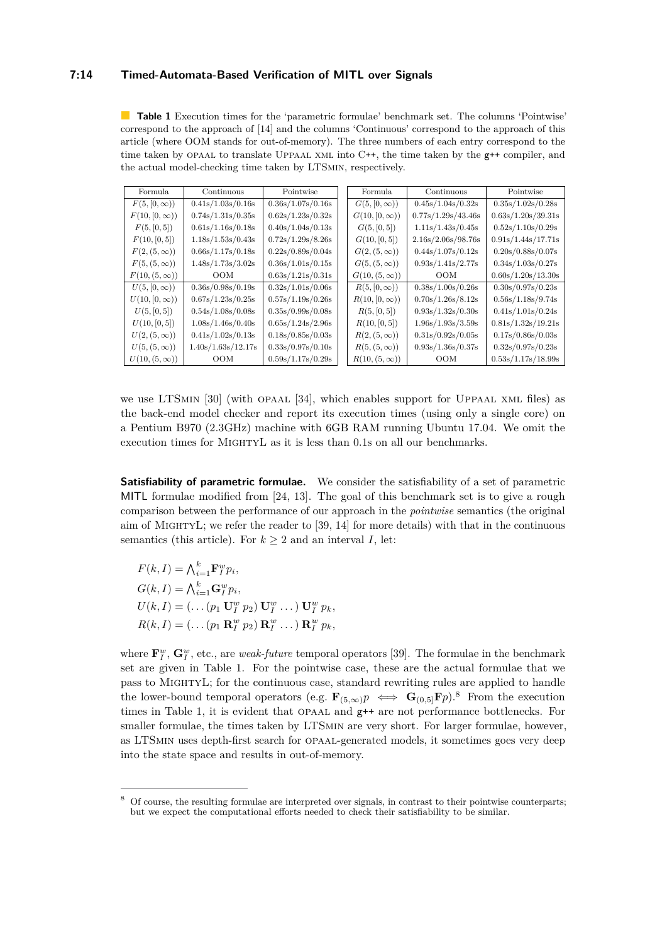# **7:14 Timed-Automata-Based Verification of MITL over Signals**

<span id="page-13-0"></span>**Table 1** Execution times for the 'parametric formulae' benchmark set. The columns 'Pointwise' correspond to the approach of [\[14\]](#page-15-12) and the columns 'Continuous' correspond to the approach of this article (where OOM stands for out-of-memory). The three numbers of each entry correspond to the time taken by OPAAL to translate UPPAAL XML into C++, the time taken by the  $g$ ++ compiler, and the actual model-checking time taken by LTSmin, respectively.

| Formula              | Continuous         | Pointwise         | Formula              | Continuous                                     | Pointwise                                      |  |
|----------------------|--------------------|-------------------|----------------------|------------------------------------------------|------------------------------------------------|--|
| $F(5, [0, \infty))$  | 0.41s/1.03s/0.16s  | 0.36s/1.07s/0.16s | $G(5, [0, \infty))$  | 0.45s/1.04s/0.32s                              | 0.35s/1.02s/0.28s                              |  |
| $F(10, [0, \infty))$ | 0.74s/1.31s/0.35s  | 0.62s/1.23s/0.32s | $G(10,[0,\infty))$   | 0.77s/1.29s/43.46s                             | 0.63s/1.20s/39.31s                             |  |
| F(5, [0, 5])         | 0.61s/1.16s/0.18s  | 0.40s/1.04s/0.13s | G(5, [0, 5])         | 1.11s/1.43s/0.45s                              | 0.52s/1.10s/0.29s                              |  |
| F(10,[0,5])          | 1.18s/1.53s/0.43s  | 0.72s/1.29s/8.26s | G(10,[0,5])          | 2.16s/2.06s/98.76s                             | 0.91s/1.44s/17.71s                             |  |
| $F(2,(5,\infty))$    | 0.66s/1.17s/0.18s  | 0.22s/0.89s/0.04s | $G(2,(5,\infty))$    | 0.44s/1.07s/0.12s                              | 0.20s/0.88s/0.07s                              |  |
| $F(5,(5,\infty))$    | 1.48s/1.73s/3.02s  | 0.36s/1.01s/0.15s | $G(5, (5, \infty))$  | 0.93s/1.41s/2.77s                              | 0.34s/1.03s/0.27s                              |  |
| $F(10,(5,\infty))$   | <b>OOM</b>         | 0.63s/1.21s/0.31s | $G(10, (5, \infty))$ | <b>OOM</b>                                     | 0.60s/1.20s/13.30s                             |  |
| $U(5, [0, \infty))$  | 0.36s/0.98s/0.19s  | 0.32s/1.01s/0.06s | $R(5, [0, \infty))$  | 0.38s/1.00s/0.26s                              | $0.30\mathrm{s}/0.97\mathrm{s}/0.23\mathrm{s}$ |  |
| $U(10, [0, \infty))$ | 0.67s/1.23s/0.25s  | 0.57s/1.19s/0.26s | $R(10,[0,\infty))$   | 0.70s/1.26s/8.12s                              | 0.56s/1.18s/9.74s                              |  |
| U(5, [0, 5])         | 0.54s/1.08s/0.08s  | 0.35s/0.99s/0.08s | R(5, [0, 5])         | 0.93s/1.32s/0.30s                              | 0.41s/1.01s/0.24s                              |  |
| U(10,[0,5])          | 1.08s/1.46s/0.40s  | 0.65s/1.24s/2.96s | R(10,[0,5])          | 1.96s/1.93s/3.59s                              | 0.81s/1.32s/19.21s                             |  |
| $U(2,(5,\infty))$    | 0.41s/1.02s/0.13s  | 0.18s/0.85s/0.03s | $R(2,(5,\infty))$    | $0.31\mathrm{s}/0.92\mathrm{s}/0.05\mathrm{s}$ | 0.17s/0.86s/0.03s                              |  |
| $U(5,(5,\infty))$    | 1.40s/1.63s/12.17s | 0.33s/0.97s/0.10s | $R(5, (5, \infty))$  | 0.93s/1.36s/0.37s                              | 0.32s/0.97s/0.23s                              |  |
| $U(10,(5,\infty))$   | <b>OOM</b>         | 0.59s/1.17s/0.29s | $R(10, (5, \infty))$ | <b>OOM</b>                                     | 0.53s/1.17s/18.99s                             |  |

we use LTSmin [\[30\]](#page-16-15) (with opaal [\[34\]](#page-17-9), which enables support for Uppaal xml files) as the back-end model checker and report its execution times (using only a single core) on a Pentium B970 (2*.*3GHz) machine with 6GB RAM running Ubuntu 17*.*04. We omit the execution times for MightyL as it is less than 0*.*1s on all our benchmarks.

**Satisfiability of parametric formulae.** We consider the satisfiability of a set of parametric MITL formulae modified from [\[24,](#page-16-16) [13\]](#page-15-7). The goal of this benchmark set is to give a rough comparison between the performance of our approach in the *pointwise* semantics (the original aim of MIGHTYL; we refer the reader to  $[39, 14]$  $[39, 14]$  $[39, 14]$  for more details) with that in the continuous semantics (this article). For  $k \geq 2$  and an interval *I*, let:

 $F(k, I) = \bigwedge_{i=1}^{k} \mathbf{F}_{I}^{w} p_{i},$  $G(k, I) = \bigwedge_{i=1}^{k} \mathbf{G}_{I}^{w} p_{i},$  $U(k, I) = (\ldots (p_1 \mathbf{U}_I^w p_2) \mathbf{U}_I^w \ldots) \mathbf{U}_I^w p_k,$  $R(k, I) = (\ldots (p_1 \mathbf{R}_I^w p_2) \mathbf{R}_I^w \ldots) \mathbf{R}_I^w p_k,$ 

where  $\mathbf{F}_I^w$ ,  $\mathbf{G}_I^w$ , etc., are *weak-future* temporal operators [\[39\]](#page-17-8). The formulae in the benchmark set are given in Table [1.](#page-13-0) For the pointwise case, these are the actual formulae that we pass to MightyL; for the continuous case, standard rewriting rules are applied to handle the lower-bound temporal operators (e.g.  $\mathbf{F}_{(5,\infty)}p \iff \mathbf{G}_{(0,5]} \mathbf{F}p$ ).<sup>[8](#page-13-1)</sup> From the execution times in Table [1,](#page-13-0) it is evident that OPAAL and  $g++$  are not performance bottlenecks. For smaller formulae, the times taken by LTSmin are very short. For larger formulae, however, as LTSmin uses depth-first search for opaal-generated models, it sometimes goes very deep into the state space and results in out-of-memory.

<span id="page-13-1"></span><sup>8</sup> Of course, the resulting formulae are interpreted over signals, in contrast to their pointwise counterparts; but we expect the computational efforts needed to check their satisfiability to be similar.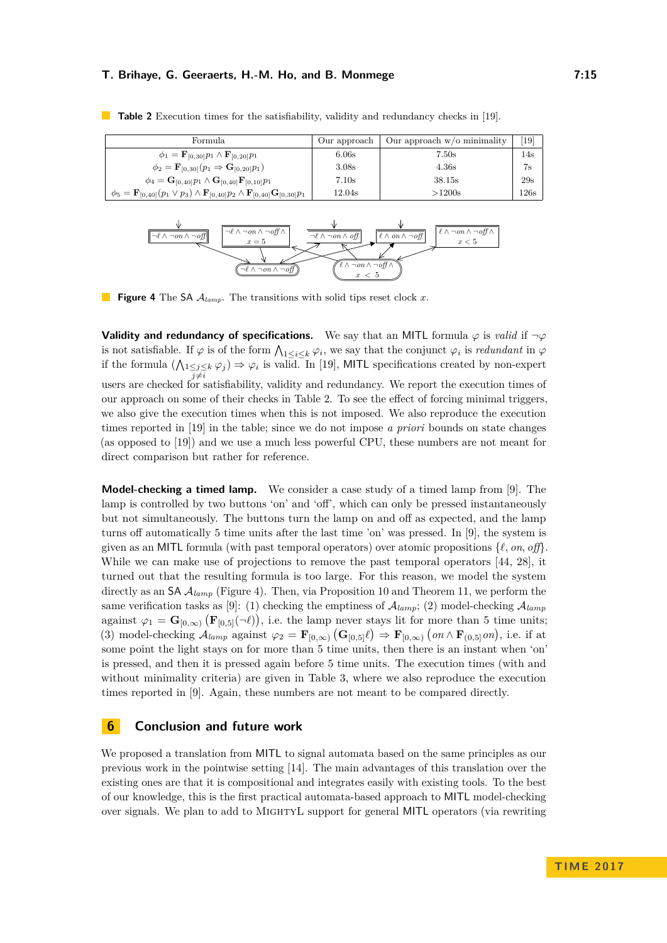| Formula                                                                                                                      | Our approach | Our approach $w$ /o minimality | $\left[19\right]$ |
|------------------------------------------------------------------------------------------------------------------------------|--------------|--------------------------------|-------------------|
| $\phi_1 = \mathbf{F}_{[0,30]} p_1 \wedge \mathbf{F}_{[0,20]} p_1$                                                            | 6.06s        | 7.50s                          | $14\mathrm{s}$    |
| $\phi_2 = \mathbf{F}_{[0,30]}(p_1 \Rightarrow \mathbf{G}_{[0,20]}p_1)$                                                       | 3.08s        | 4.36s                          | 7s                |
| $\phi_4 = \mathbf{G}_{[0,40]} p_1 \wedge \mathbf{G}_{[0,40]} \mathbf{F}_{[0,10]} p_1$                                        | 7.10s        | 38.15s                         | 29s               |
| $\phi_5 = \mathbf{F}_{[0,40]}(p_1 \vee p_3) \wedge \mathbf{F}_{[0,40]}p_2 \wedge \mathbf{F}_{[0,40]} \mathbf{G}_{[0,30]}p_1$ | 12.04s       | >1200s                         | 126s              |

<span id="page-14-0"></span>**Table 2** Execution times for the satisfiability, validity and redundancy checks in [\[19\]](#page-16-17).

<span id="page-14-1"></span><sup>¬</sup>*`* ∧ ¬*on* ∧ ¬*off* <sup>¬</sup>*`* ∧ ¬*on* ∧ ¬*off* <sup>¬</sup>*`* ∧ ¬*on* ∧ ¬*off* <sup>∧</sup>  $x = 5$  $\overline{\mathcal{A} \circ \mathcal{A} \circ \mathcal{A}}$  **off**  $\mathcal{A}$   $\overline{\mathcal{A} \circ \mathcal{A}}$   $\overline{\mathcal{A} \circ \mathcal{A}}$   $\overline{\mathcal{A} \circ \mathcal{A}}$   $\overline{\mathcal{A} \circ \mathcal{A}}$   $\overline{\mathcal{A} \circ \mathcal{A}}$   $\overline{\mathcal{A} \circ \mathcal{A}}$   $\overline{\mathcal{A} \circ \mathcal{A}}$   $\overline{\mathcal{A} \circ \mathcal{A}}$   $\overline{\mathcal{A} \circ \mathcal{A}}$  $x < 5$ *`* ∧ ¬*on* ∧ ¬*off* <sup>∧</sup> *x <* 5

**Figure 4** The SA A*lamp*. The transitions with solid tips reset clock *x*.

**Validity and redundancy of specifications.** We say that an MITL formula  $\varphi$  is *valid* if  $\neg \varphi$ is not satisfiable. If  $\varphi$  is of the form  $\bigwedge_{1\leq i\leq k}\varphi_i$ , we say that the conjunct  $\varphi_i$  is *redundant* in  $\varphi$ if the formula  $(\bigwedge_{1 \leq j \leq k} \varphi_j) \Rightarrow \varphi_i$  is valid. In [\[19\]](#page-16-17), MITL specifications created by non-expert users are checked for satisfiability, validity and redundancy. We report the execution times of our approach on some of their checks in Table [2.](#page-14-0) To see the effect of forcing minimal triggers, we also give the execution times when this is not imposed. We also reproduce the execution times reported in [\[19\]](#page-16-17) in the table; since we do not impose *a priori* bounds on state changes (as opposed to [\[19\]](#page-16-17)) and we use a much less powerful CPU, these numbers are not meant for direct comparison but rather for reference.

**Model-checking a timed lamp.** We consider a case study of a timed lamp from [\[9\]](#page-15-8). The lamp is controlled by two buttons 'on' and 'off', which can only be pressed instantaneously but not simultaneously. The buttons turn the lamp on and off as expected, and the lamp turns off automatically 5 time units after the last time 'on' was pressed. In [\[9\]](#page-15-8), the system is given as an MITL formula (with past temporal operators) over atomic propositions  $\{\ell, on, off\}$ . While we can make use of projections to remove the past temporal operators [\[44,](#page-17-10) [28\]](#page-16-13), it turned out that the resulting formula is too large. For this reason, we model the system directly as an SA A*lamp* (Figure [4\)](#page-14-1). Then, via Proposition [10](#page-11-0) and Theorem [11,](#page-12-0) we perform the same verification tasks as [\[9\]](#page-15-8): (1) checking the emptiness of  $\mathcal{A}_{lamp}$ ; (2) model-checking  $\mathcal{A}_{lamp}$ against  $\varphi_1 = \mathbf{G}_{[0,\infty)} (\mathbf{F}_{[0,5]}(\neg \ell))$ , i.e. the lamp never stays lit for more than 5 time units; (3) model-checking  $\mathcal{A}_{\text{lamp}}$  against  $\varphi_2 = \mathbf{F}_{[0,\infty)} (\mathbf{G}_{[0,5]} \ell) \Rightarrow \mathbf{F}_{[0,\infty)} (\text{on} \wedge \mathbf{F}_{(0,5]} \text{on}),$  i.e. if at some point the light stays on for more than 5 time units, then there is an instant when 'on' is pressed, and then it is pressed again before 5 time units. The execution times (with and without minimality criteria) are given in Table [3,](#page-15-14) where we also reproduce the execution times reported in [\[9\]](#page-15-8). Again, these numbers are not meant to be compared directly.

# **6 Conclusion and future work**

We proposed a translation from MITL to signal automata based on the same principles as our previous work in the pointwise setting [\[14\]](#page-15-12). The main advantages of this translation over the existing ones are that it is compositional and integrates easily with existing tools. To the best of our knowledge, this is the first practical automata-based approach to MITL model-checking over signals. We plan to add to MightyL support for general MITL operators (via rewriting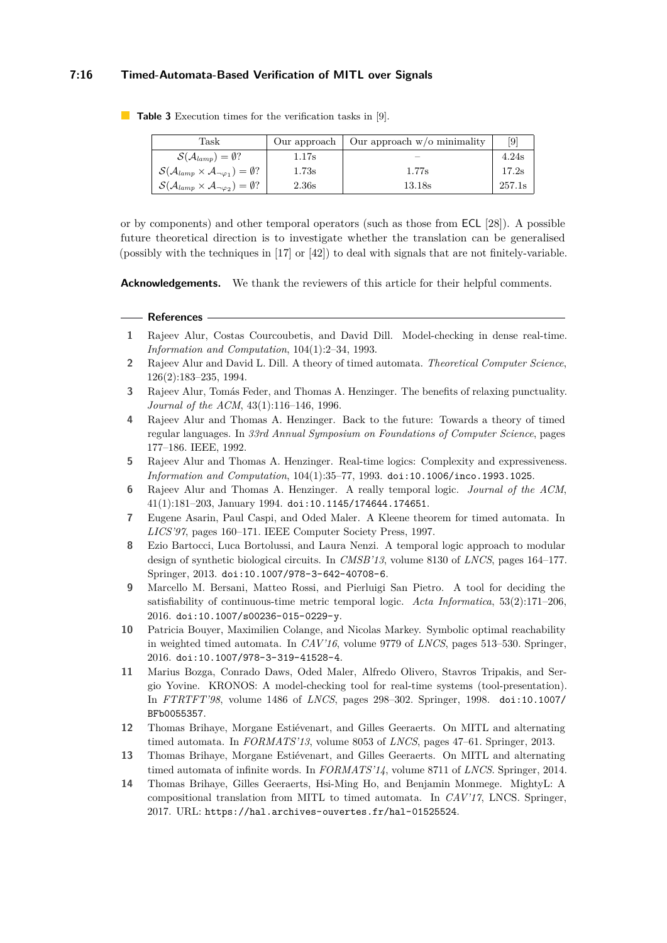## **7:16 Timed-Automata-Based Verification of MITL over Signals**

| Task                                                                                      |       | Our approach $\vert$ Our approach w/o minimality | [9]    |
|-------------------------------------------------------------------------------------------|-------|--------------------------------------------------|--------|
| $\mathcal{S}(\mathcal{A}_{lamp})=\emptyset?$                                              | 1.17s |                                                  | 4.24s  |
| $\mathcal{S}(\mathcal{A}_{lamp} \times \mathcal{A}_{\neg \varphi_1}) = \emptyset?$        | 1.73s | 1.77s                                            | 17.2s  |
| $\mathcal{S}(\mathcal{A}_{\text{lamp}} \times \mathcal{A}_{\neg \varphi_2}) = \emptyset?$ | 2.36s | 13.18s                                           | 257.1s |

<span id="page-15-14"></span>**Table 3** Execution times for the verification tasks in [\[9\]](#page-15-8).

or by components) and other temporal operators (such as those from ECL [\[28\]](#page-16-13)). A possible future theoretical direction is to investigate whether the translation can be generalised (possibly with the techniques in [\[17\]](#page-16-18) or [\[42\]](#page-17-11)) to deal with signals that are not finitely-variable.

**Acknowledgements.** We thank the reviewers of this article for their helpful comments.

#### **References**

- <span id="page-15-4"></span>**1** Rajeev Alur, Costas Courcoubetis, and David Dill. Model-checking in dense real-time. *Information and Computation*, 104(1):2–34, 1993.
- <span id="page-15-0"></span>**2** Rajeev Alur and David L. Dill. A theory of timed automata. *Theoretical Computer Science*, 126(2):183–235, 1994.
- <span id="page-15-5"></span>**3** Rajeev Alur, Tomás Feder, and Thomas A. Henzinger. The benefits of relaxing punctuality. *Journal of the ACM*, 43(1):116–146, 1996.
- <span id="page-15-13"></span>**4** Rajeev Alur and Thomas A. Henzinger. Back to the future: Towards a theory of timed regular languages. In *33rd Annual Symposium on Foundations of Computer Science*, pages 177–186. IEEE, 1992.
- <span id="page-15-9"></span>**5** Rajeev Alur and Thomas A. Henzinger. Real-time logics: Complexity and expressiveness. *Information and Computation*, 104(1):35–77, 1993. [doi:10.1006/inco.1993.1025](http://dx.doi.org/10.1006/inco.1993.1025).
- <span id="page-15-3"></span>**6** Rajeev Alur and Thomas A. Henzinger. A really temporal logic. *Journal of the ACM*, 41(1):181–203, January 1994. [doi:10.1145/174644.174651](http://dx.doi.org/10.1145/174644.174651).
- <span id="page-15-10"></span>**7** Eugene Asarin, Paul Caspi, and Oded Maler. A Kleene theorem for timed automata. In *LICS'97*, pages 160–171. IEEE Computer Society Press, 1997.
- <span id="page-15-11"></span>**8** Ezio Bartocci, Luca Bortolussi, and Laura Nenzi. A temporal logic approach to modular design of synthetic biological circuits. In *CMSB'13*, volume 8130 of *LNCS*, pages 164–177. Springer, 2013. [doi:10.1007/978-3-642-40708-6](http://dx.doi.org/10.1007/978-3-642-40708-6).
- <span id="page-15-8"></span>**9** Marcello M. Bersani, Matteo Rossi, and Pierluigi San Pietro. A tool for deciding the satisfiability of continuous-time metric temporal logic. *Acta Informatica*, 53(2):171–206, 2016. [doi:10.1007/s00236-015-0229-y](http://dx.doi.org/10.1007/s00236-015-0229-y).
- <span id="page-15-2"></span>**10** Patricia Bouyer, Maximilien Colange, and Nicolas Markey. Symbolic optimal reachability in weighted timed automata. In *CAV'16*, volume 9779 of *LNCS*, pages 513–530. Springer, 2016. [doi:10.1007/978-3-319-41528-4](http://dx.doi.org/10.1007/978-3-319-41528-4).
- <span id="page-15-1"></span>**11** Marius Bozga, Conrado Daws, Oded Maler, Alfredo Olivero, Stavros Tripakis, and Sergio Yovine. KRONOS: A model-checking tool for real-time systems (tool-presentation). In *FTRTFT'98*, volume 1486 of *LNCS*, pages 298–302. Springer, 1998. [doi:10.1007/](http://dx.doi.org/10.1007/BFb0055357) [BFb0055357](http://dx.doi.org/10.1007/BFb0055357).
- <span id="page-15-6"></span>**12** Thomas Brihaye, Morgane Estiévenart, and Gilles Geeraerts. On MITL and alternating timed automata. In *FORMATS'13*, volume 8053 of *LNCS*, pages 47–61. Springer, 2013.
- <span id="page-15-7"></span>**13** Thomas Brihaye, Morgane Estiévenart, and Gilles Geeraerts. On MITL and alternating timed automata of infinite words. In *FORMATS'14*, volume 8711 of *LNCS*. Springer, 2014.
- <span id="page-15-12"></span>**14** Thomas Brihaye, Gilles Geeraerts, Hsi-Ming Ho, and Benjamin Monmege. MightyL: A compositional translation from MITL to timed automata. In *CAV'17*, LNCS. Springer, 2017. URL: <https://hal.archives-ouvertes.fr/hal-01525524>.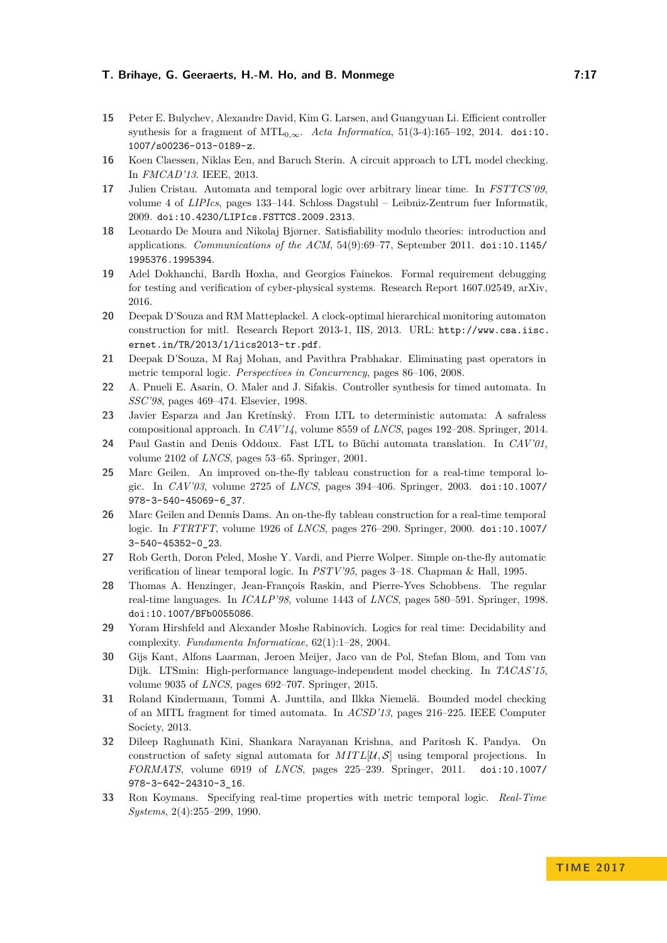- <span id="page-16-2"></span>**15** Peter E. Bulychev, Alexandre David, Kim G. Larsen, and Guangyuan Li. Efficient controller synthesis for a fragment of  $MTL_{0,\infty}$ . *Acta Informatica*, 51(3-4):165–192, 2014. [doi:10.](http://dx.doi.org/10.1007/s00236-013-0189-z) [1007/s00236-013-0189-z](http://dx.doi.org/10.1007/s00236-013-0189-z).
- <span id="page-16-7"></span>**16** Koen Claessen, Niklas Een, and Baruch Sterin. A circuit approach to LTL model checking. In *FMCAD'13*. IEEE, 2013.
- <span id="page-16-18"></span>**17** Julien Cristau. Automata and temporal logic over arbitrary linear time. In *FSTTCS'09*, volume 4 of *LIPIcs*, pages 133–144. Schloss Dagstuhl – Leibniz-Zentrum fuer Informatik, 2009. [doi:10.4230/LIPIcs.FSTTCS.2009.2313](http://dx.doi.org/10.4230/LIPIcs.FSTTCS.2009.2313).
- <span id="page-16-12"></span>**18** Leonardo De Moura and Nikolaj Bjørner. Satisfiability modulo theories: introduction and applications. *Communications of the ACM*, 54(9):69–77, September 2011. [doi:10.1145/](http://dx.doi.org/10.1145/1995376.1995394) [1995376.1995394](http://dx.doi.org/10.1145/1995376.1995394).
- <span id="page-16-17"></span>**19** Adel Dokhanchi, Bardh Hoxha, and Georgios Fainekos. Formal requirement debugging for testing and verification of cyber-physical systems. Research Report 1607.02549, arXiv, 2016.
- <span id="page-16-6"></span>**20** Deepak D'Souza and RM Matteplackel. A clock-optimal hierarchical monitoring automaton construction for mitl. Research Report 2013-1, IIS, 2013. URL: [http://www.csa.iisc.](http://www.csa.iisc.ernet.in/TR/2013/1/lics2013-tr.pdf) [ernet.in/TR/2013/1/lics2013-tr.pdf](http://www.csa.iisc.ernet.in/TR/2013/1/lics2013-tr.pdf).
- <span id="page-16-5"></span>**21** Deepak D'Souza, M Raj Mohan, and Pavithra Prabhakar. Eliminating past operators in metric temporal logic. *Perspectives in Concurrency*, pages 86–106, 2008.
- <span id="page-16-14"></span>**22** A. Pnueli E. Asarin, O. Maler and J. Sifakis. Controller synthesis for timed automata. In *SSC'98*, pages 469–474. Elsevier, 1998.
- <span id="page-16-8"></span>**23** Javier Esparza and Jan Kretínský. From LTL to deterministic automata: A safraless compositional approach. In *CAV'14*, volume 8559 of *LNCS*, pages 192–208. Springer, 2014.
- <span id="page-16-16"></span>**24** Paul Gastin and Denis Oddoux. Fast LTL to Büchi automata translation. In *CAV'01*, volume 2102 of *LNCS*, pages 53–65. Springer, 2001.
- <span id="page-16-11"></span>**25** Marc Geilen. An improved on-the-fly tableau construction for a real-time temporal logic. In *CAV'03*, volume 2725 of *LNCS*, pages 394–406. Springer, 2003. [doi:10.1007/](http://dx.doi.org/10.1007/978-3-540-45069-6_37) [978-3-540-45069-6\\_37](http://dx.doi.org/10.1007/978-3-540-45069-6_37).
- <span id="page-16-10"></span>**26** Marc Geilen and Dennis Dams. An on-the-fly tableau construction for a real-time temporal logic. In *FTRTFT*, volume 1926 of *LNCS*, pages 276–290. Springer, 2000. [doi:10.1007/](http://dx.doi.org/10.1007/3-540-45352-0_23) [3-540-45352-0\\_23](http://dx.doi.org/10.1007/3-540-45352-0_23).
- <span id="page-16-9"></span>**27** Rob Gerth, Doron Peled, Moshe Y. Vardi, and Pierre Wolper. Simple on-the-fly automatic verification of linear temporal logic. In *PSTV'95*, pages 3–18. Chapman & Hall, 1995.
- <span id="page-16-13"></span>**28** Thomas A. Henzinger, Jean-François Raskin, and Pierre-Yves Schobbens. The regular real-time languages. In *ICALP'98*, volume 1443 of *LNCS*, pages 580–591. Springer, 1998. [doi:10.1007/BFb0055086](http://dx.doi.org/10.1007/BFb0055086).
- <span id="page-16-3"></span>**29** Yoram Hirshfeld and Alexander Moshe Rabinovich. Logics for real time: Decidability and complexity. *Fundamenta Informaticae*, 62(1):1–28, 2004.
- <span id="page-16-15"></span>**30** Gijs Kant, Alfons Laarman, Jeroen Meijer, Jaco van de Pol, Stefan Blom, and Tom van Dijk. LTSmin: High-performance language-independent model checking. In *TACAS'15*, volume 9035 of *LNCS*, pages 692–707. Springer, 2015.
- <span id="page-16-1"></span>**31** Roland Kindermann, Tommi A. Junttila, and Ilkka Niemelä. Bounded model checking of an MITL fragment for timed automata. In *ACSD'13*, pages 216–225. IEEE Computer Society, 2013.
- <span id="page-16-4"></span>**32** Dileep Raghunath Kini, Shankara Narayanan Krishna, and Paritosh K. Pandya. On construction of safety signal automata for  $MITL[\mathcal{U}, \mathcal{S}]$  using temporal projections. In *FORMATS*, volume 6919 of *LNCS*, pages 225–239. Springer, 2011. [doi:10.1007/](http://dx.doi.org/10.1007/978-3-642-24310-3_16) [978-3-642-24310-3\\_16](http://dx.doi.org/10.1007/978-3-642-24310-3_16).
- <span id="page-16-0"></span>**33** Ron Koymans. Specifying real-time properties with metric temporal logic. *Real-Time Systems*, 2(4):255–299, 1990.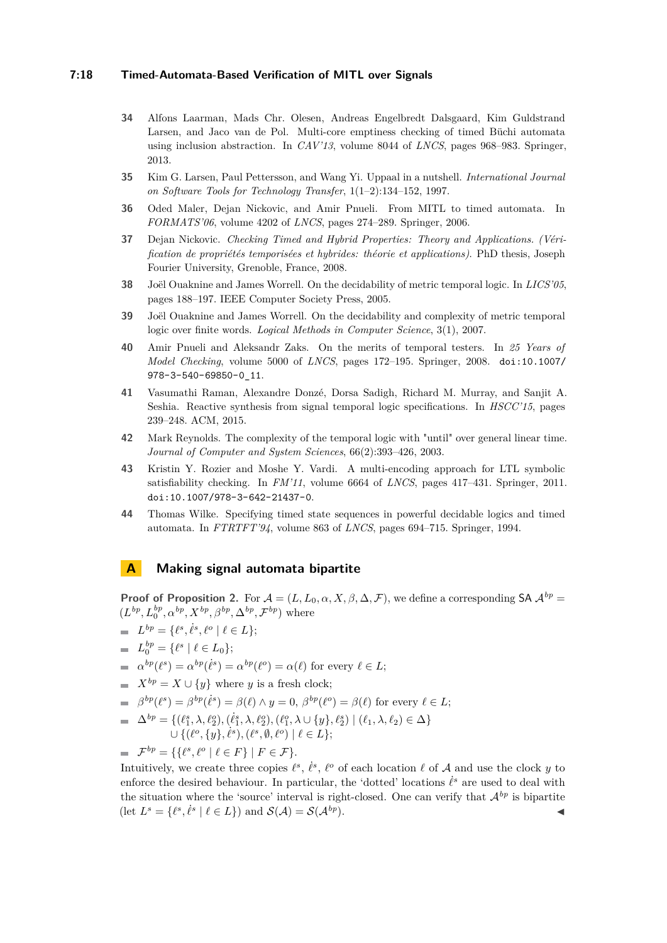#### **7:18 Timed-Automata-Based Verification of MITL over Signals**

- <span id="page-17-9"></span>**34** Alfons Laarman, Mads Chr. Olesen, Andreas Engelbredt Dalsgaard, Kim Guldstrand Larsen, and Jaco van de Pol. Multi-core emptiness checking of timed Büchi automata using inclusion abstraction. In *CAV'13*, volume 8044 of *LNCS*, pages 968–983. Springer, 2013.
- <span id="page-17-0"></span>**35** Kim G. Larsen, Paul Pettersson, and Wang Yi. Uppaal in a nutshell. *International Journal on Software Tools for Technology Transfer*, 1(1–2):134–152, 1997.
- <span id="page-17-2"></span>**36** Oded Maler, Dejan Nickovic, and Amir Pnueli. From MITL to timed automata. In *FORMATS'06*, volume 4202 of *LNCS*, pages 274–289. Springer, 2006.
- <span id="page-17-4"></span>**37** Dejan Nickovic. *Checking Timed and Hybrid Properties: Theory and Applications. (Vérification de propriétés temporisées et hybrides: théorie et applications)*. PhD thesis, Joseph Fourier University, Grenoble, France, 2008.
- <span id="page-17-1"></span>**38** Joël Ouaknine and James Worrell. On the decidability of metric temporal logic. In *LICS'05*, pages 188–197. IEEE Computer Society Press, 2005.
- <span id="page-17-8"></span>**39** Joël Ouaknine and James Worrell. On the decidability and complexity of metric temporal logic over finite words. *Logical Methods in Computer Science*, 3(1), 2007.
- <span id="page-17-5"></span>**40** Amir Pnueli and Aleksandr Zaks. On the merits of temporal testers. In *25 Years of Model Checking*, volume 5000 of *LNCS*, pages 172–195. Springer, 2008. [doi:10.1007/](http://dx.doi.org/10.1007/978-3-540-69850-0_11) [978-3-540-69850-0\\_11](http://dx.doi.org/10.1007/978-3-540-69850-0_11).
- <span id="page-17-3"></span>**41** Vasumathi Raman, Alexandre Donzé, Dorsa Sadigh, Richard M. Murray, and Sanjit A. Seshia. Reactive synthesis from signal temporal logic specifications. In *HSCC'15*, pages 239–248. ACM, 2015.
- <span id="page-17-11"></span>**42** Mark Reynolds. The complexity of the temporal logic with "until" over general linear time. *Journal of Computer and System Sciences*, 66(2):393–426, 2003.
- <span id="page-17-6"></span>**43** Kristin Y. Rozier and Moshe Y. Vardi. A multi-encoding approach for LTL symbolic satisfiability checking. In *FM'11*, volume 6664 of *LNCS*, pages 417–431. Springer, 2011. [doi:10.1007/978-3-642-21437-0](http://dx.doi.org/10.1007/978-3-642-21437-0).
- <span id="page-17-10"></span>**44** Thomas Wilke. Specifying timed state sequences in powerful decidable logics and timed automata. In *FTRTFT'94*, volume 863 of *LNCS*, pages 694–715. Springer, 1994.

# <span id="page-17-7"></span>**A Making signal automata bipartite**

**Proof of Proposition [2.](#page-5-2)** For  $A = (L, L_0, \alpha, X, \beta, \Delta, \mathcal{F})$ , we define a corresponding SA  $\mathcal{A}^{bp}$  $(L^{bp}, L_0^{bp}, \alpha^{bp}, X^{bp}, \beta^{bp}, \Delta^{bp}, \mathcal{F}^{bp})$  where

$$
= L^{bp} = \{ \ell^s, \dot{\ell}^s, \ell^o \mid \ell \in L \};
$$

 $L_0^{bp} = \{ \ell^s \mid \ell \in L_0 \};$ 

 $\alpha^{bp}(\ell^s) = \alpha^{bp}(\ell^s) = \alpha^{bp}(\ell^o) = \alpha(\ell)$  for every  $\ell \in L$ ;

 $X^{bp} = X \cup \{y\}$  where *y* is a fresh clock;

$$
\Rightarrow \beta^{bp}(\ell^s) = \beta^{bp}(\ell^s) = \beta(\ell) \land y = 0, \ \beta^{bp}(\ell^o) = \beta(\ell) \text{ for every } \ell \in L;
$$

 $\Delta^{bp} = \{(\ell_1^s, \lambda, \ell_2^o), (\dot{\ell}_1^s, \lambda, \ell_2^o), (\ell_1^o, \lambda \cup \{y\}, \ell_2^s) | (\ell_1, \lambda, \ell_2) \in \Delta\}$  $\cup \{ (\ell^o, \{y\}, \ell^s), (\ell^s, \emptyset, \ell^o) \mid \ell \in L \};$ 

$$
\mathcal{F}^{bp} = \{ \{ \ell^s, \ell^o \mid \ell \in F \} \mid F \in \mathcal{F} \}.
$$

Intuitively, we create three copies  $\ell^s$ ,  $\dot{\ell}^s$ ,  $\ell^o$  of each location  $\ell$  of A and use the clock *y* to enforce the desired behaviour. In particular, the 'dotted' locations  $\dot{\ell}^s$  are used to deal with the situation where the 'source' interval is right-closed. One can verify that  $\mathcal{A}^{bp}$  is bipartite (let  $L^s = \{\ell^s, \dot{\ell}^s \mid \ell \in L\}$ ) and  $\mathcal{S}(\mathcal{A}) = \mathcal{S}(\mathcal{A}^{bp})$ .